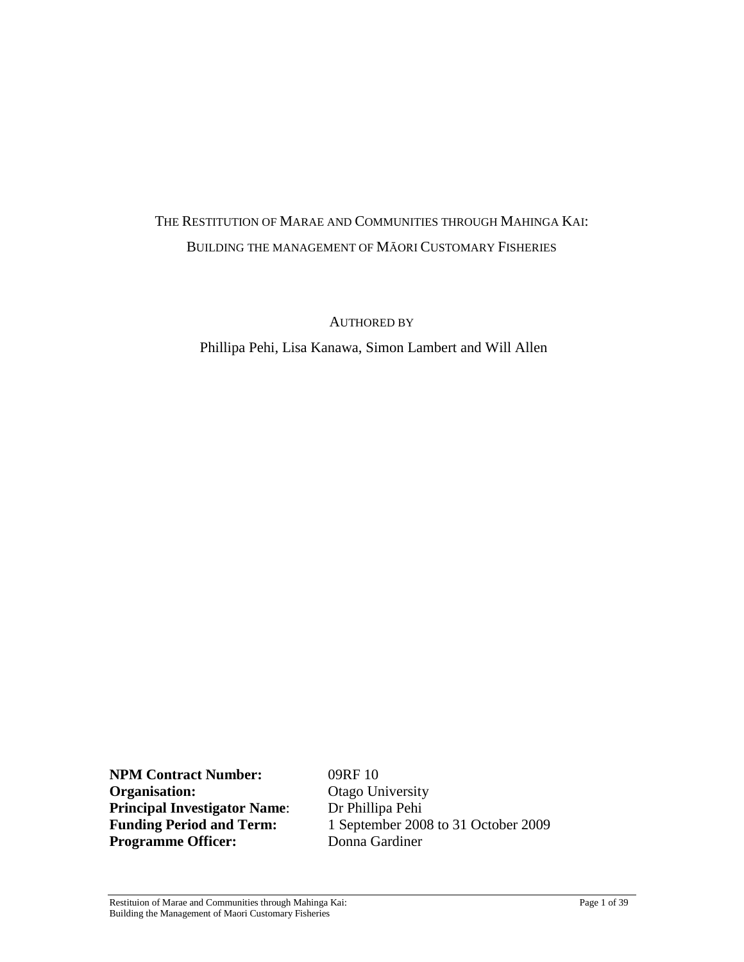## <span id="page-0-1"></span><span id="page-0-0"></span>THE RESTITUTION OF MARAE AND COMMUNITIES THROUGH MAHINGA KAI: BUILDING THE MANAGEMENT OF MĀORI CUSTOMARY FISHERIES

AUTHORED BY

Phillipa Pehi, Lisa Kanawa, Simon Lambert and Will Allen

**NPM Contract Number:** 09RF 10 **Organisation:** Otago University<br> **Principal Investigator Name**: Dr Phillipa Pehi **Principal Investigator Name:**<br>Funding Period and Term: **Programme Officer:** Donna Gardiner

**Funding Period and Term:** 1 September 2008 to 31 October 2009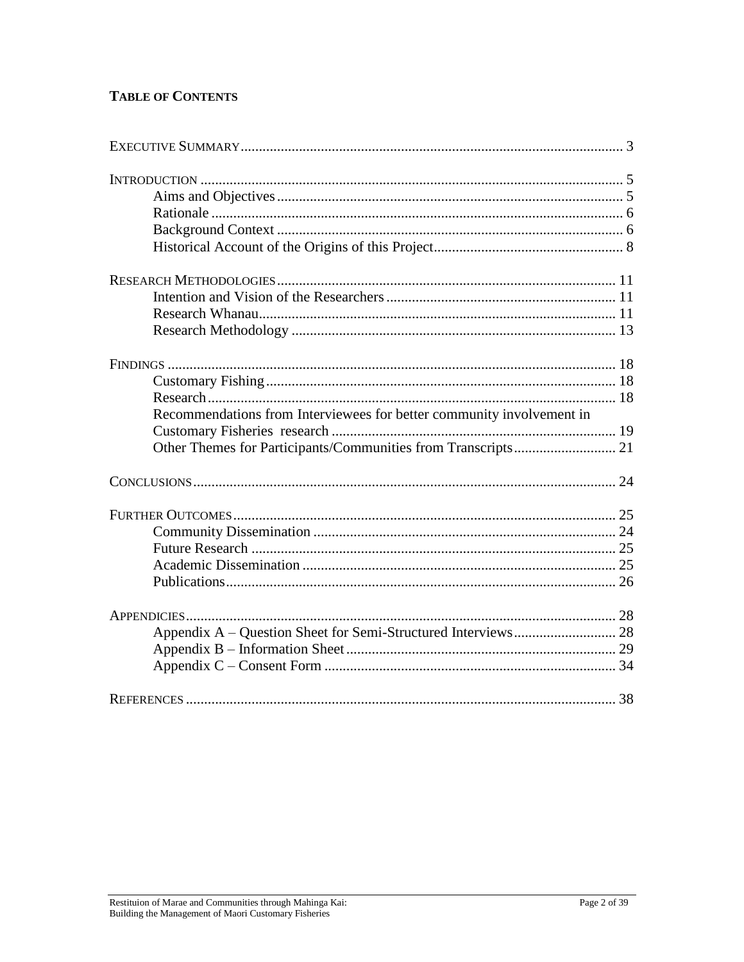## **TABLE OF CONTENTS**

| Recommendations from Interviewees for better community involvement in |  |
|-----------------------------------------------------------------------|--|
|                                                                       |  |
|                                                                       |  |
|                                                                       |  |
|                                                                       |  |
|                                                                       |  |
|                                                                       |  |
|                                                                       |  |
|                                                                       |  |
|                                                                       |  |
|                                                                       |  |
|                                                                       |  |
|                                                                       |  |
|                                                                       |  |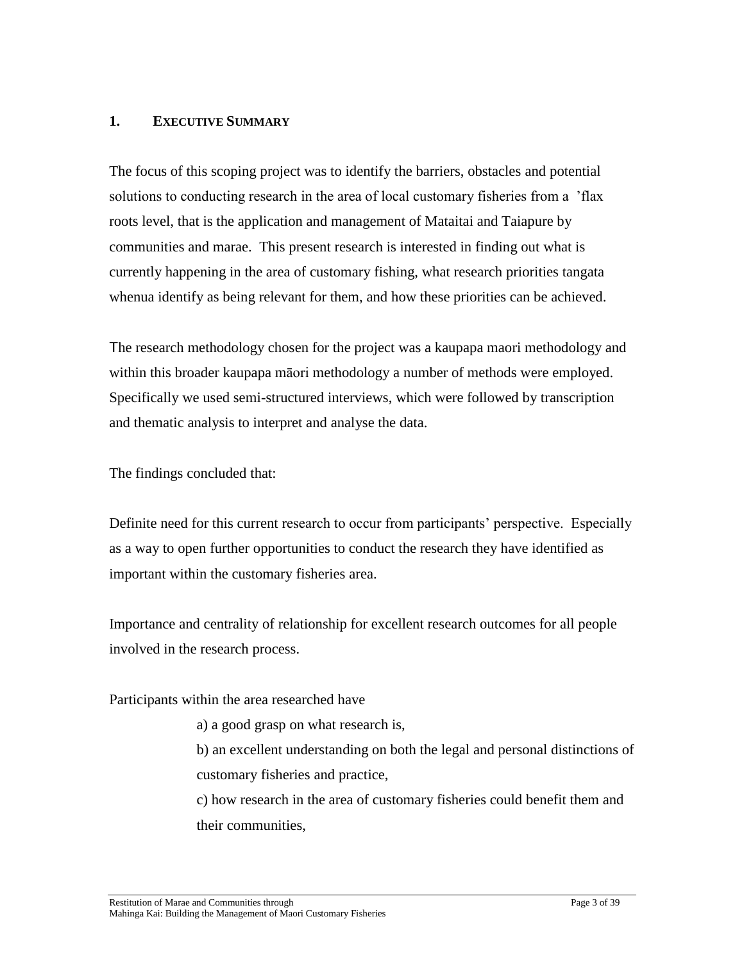## **1. EXECUTIVE SUMMARY**

The focus of this scoping project was to identify the barriers, obstacles and potential solutions to conducting research in the area of local customary fisheries from a "flax roots level, that is the application and management of Mataitai and Taiapure by communities and marae. This present research is interested in finding out what is currently happening in the area of customary fishing, what research priorities tangata whenua identify as being relevant for them, and how these priorities can be achieved.

The research methodology chosen for the project was a kaupapa maori methodology and within this broader kaupapa māori methodology a number of methods were employed. Specifically we used semi-structured interviews, which were followed by transcription and thematic analysis to interpret and analyse the data.

The findings concluded that:

Definite need for this current research to occur from participants' perspective. Especially as a way to open further opportunities to conduct the research they have identified as important within the customary fisheries area.

Importance and centrality of relationship for excellent research outcomes for all people involved in the research process.

Participants within the area researched have

a) a good grasp on what research is,

b) an excellent understanding on both the legal and personal distinctions of customary fisheries and practice,

c) how research in the area of customary fisheries could benefit them and their communities,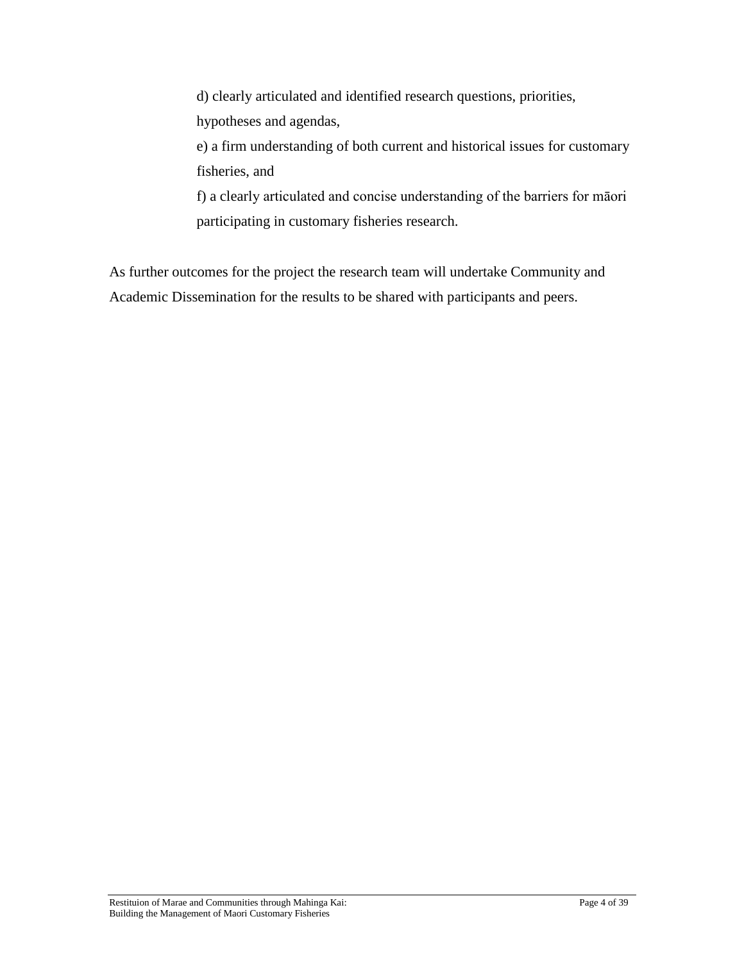d) clearly articulated and identified research questions, priorities, hypotheses and agendas,

e) a firm understanding of both current and historical issues for customary fisheries, and

f) a clearly articulated and concise understanding of the barriers for māori participating in customary fisheries research.

As further outcomes for the project the research team will undertake Community and Academic Dissemination for the results to be shared with participants and peers.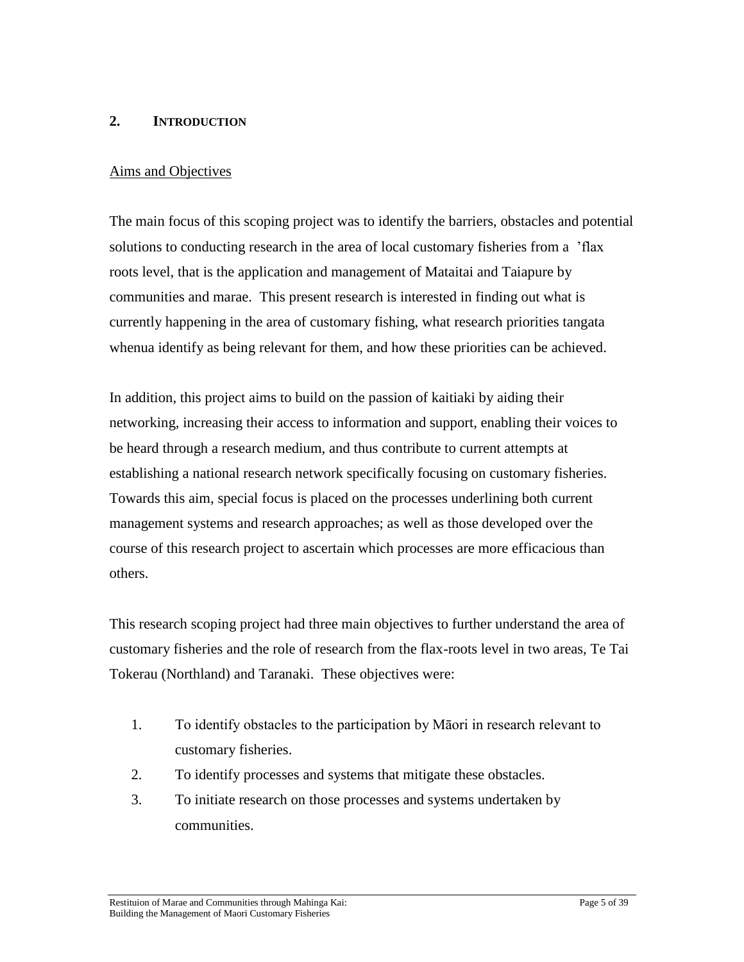## **2. INTRODUCTION**

## <span id="page-4-0"></span>Aims and Objectives

The main focus of this scoping project was to identify the barriers, obstacles and potential solutions to conducting research in the area of local customary fisheries from a "flax roots level, that is the application and management of Mataitai and Taiapure by communities and marae. This present research is interested in finding out what is currently happening in the area of customary fishing, what research priorities tangata whenua identify as being relevant for them, and how these priorities can be achieved.

In addition, this project aims to build on the passion of kaitiaki by aiding their networking, increasing their access to information and support, enabling their voices to be heard through a research medium, and thus contribute to current attempts at establishing a national research network specifically focusing on customary fisheries. Towards this aim, special focus is placed on the processes underlining both current management systems and research approaches; as well as those developed over the course of this research project to ascertain which processes are more efficacious than others.

This research scoping project had three main objectives to further understand the area of customary fisheries and the role of research from the flax-roots level in two areas, Te Tai Tokerau (Northland) and Taranaki. These objectives were:

- 1. To identify obstacles to the participation by Māori in research relevant to customary fisheries.
- 2. To identify processes and systems that mitigate these obstacles.
- 3. To initiate research on those processes and systems undertaken by communities.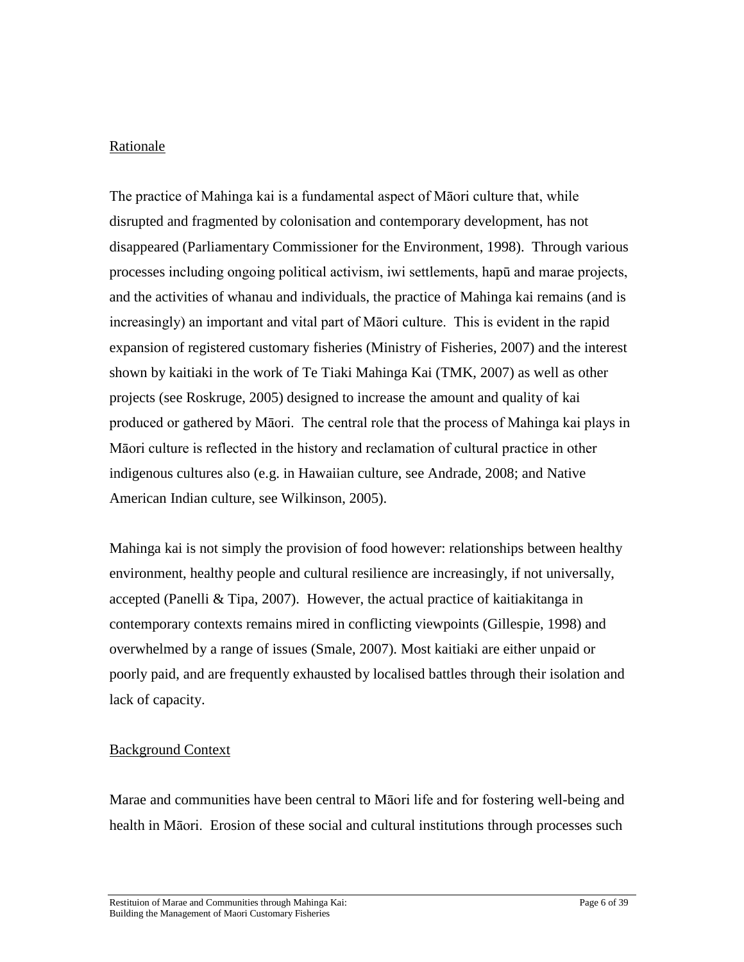#### <span id="page-5-0"></span>Rationale

The practice of Mahinga kai is a fundamental aspect of Māori culture that, while disrupted and fragmented by colonisation and contemporary development, has not disappeared (Parliamentary Commissioner for the Environment, 1998). Through various processes including ongoing political activism, iwi settlements, hapū and marae projects, and the activities of whanau and individuals, the practice of Mahinga kai remains (and is increasingly) an important and vital part of Māori culture. This is evident in the rapid expansion of registered customary fisheries (Ministry of Fisheries, 2007) and the interest shown by kaitiaki in the work of Te Tiaki Mahinga Kai (TMK, 2007) as well as other projects (see Roskruge, 2005) designed to increase the amount and quality of kai produced or gathered by Māori. The central role that the process of Mahinga kai plays in Māori culture is reflected in the history and reclamation of cultural practice in other indigenous cultures also (e.g. in Hawaiian culture, see Andrade, 2008; and Native American Indian culture, see Wilkinson, 2005).

Mahinga kai is not simply the provision of food however: relationships between healthy environment, healthy people and cultural resilience are increasingly, if not universally, accepted (Panelli & Tipa, 2007). However, the actual practice of kaitiakitanga in contemporary contexts remains mired in conflicting viewpoints (Gillespie, 1998) and overwhelmed by a range of issues (Smale, 2007). Most kaitiaki are either unpaid or poorly paid, and are frequently exhausted by localised battles through their isolation and lack of capacity.

## <span id="page-5-1"></span>Background Context

Marae and communities have been central to Māori life and for fostering well-being and health in Māori. Erosion of these social and cultural institutions through processes such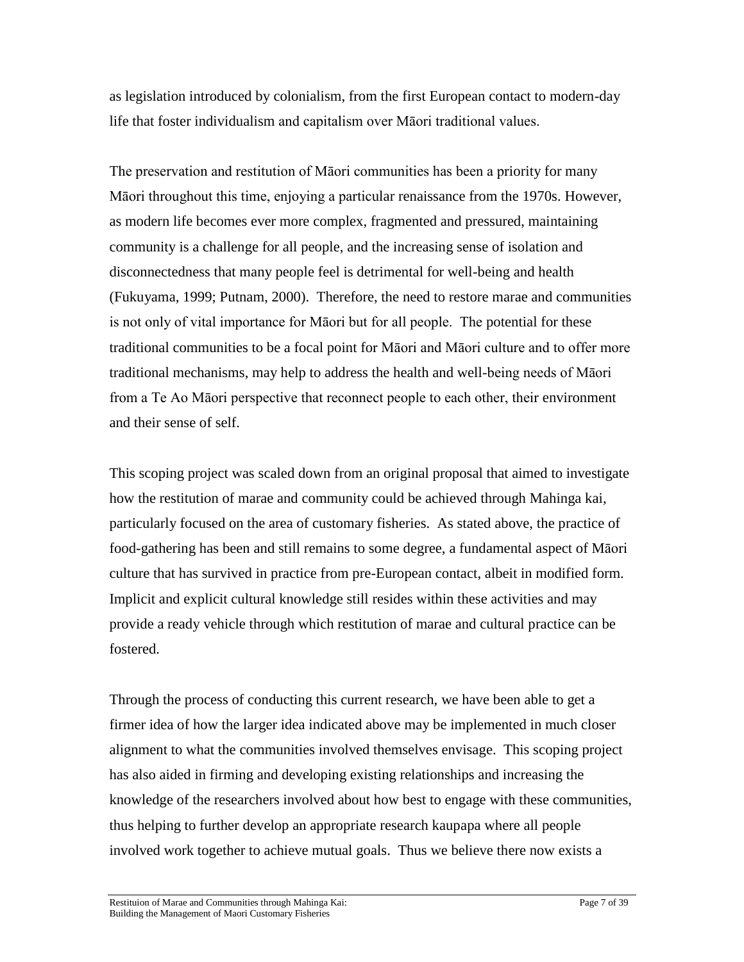as legislation introduced by colonialism, from the first European contact to modern-day life that foster individualism and capitalism over Māori traditional values.

The preservation and restitution of Māori communities has been a priority for many Māori throughout this time, enjoying a particular renaissance from the 1970s. However, as modern life becomes ever more complex, fragmented and pressured, maintaining community is a challenge for all people, and the increasing sense of isolation and disconnectedness that many people feel is detrimental for well-being and health (Fukuyama, 1999; Putnam, 2000). Therefore, the need to restore marae and communities is not only of vital importance for Māori but for all people. The potential for these traditional communities to be a focal point for Māori and Māori culture and to offer more traditional mechanisms, may help to address the health and well-being needs of Māori from a Te Ao Māori perspective that reconnect people to each other, their environment and their sense of self.

This scoping project was scaled down from an original proposal that aimed to investigate how the restitution of marae and community could be achieved through Mahinga kai, particularly focused on the area of customary fisheries. As stated above, the practice of food-gathering has been and still remains to some degree, a fundamental aspect of Māori culture that has survived in practice from pre-European contact, albeit in modified form. Implicit and explicit cultural knowledge still resides within these activities and may provide a ready vehicle through which restitution of marae and cultural practice can be fostered.

Through the process of conducting this current research, we have been able to get a firmer idea of how the larger idea indicated above may be implemented in much closer alignment to what the communities involved themselves envisage. This scoping project has also aided in firming and developing existing relationships and increasing the knowledge of the researchers involved about how best to engage with these communities, thus helping to further develop an appropriate research kaupapa where all people involved work together to achieve mutual goals. Thus we believe there now exists a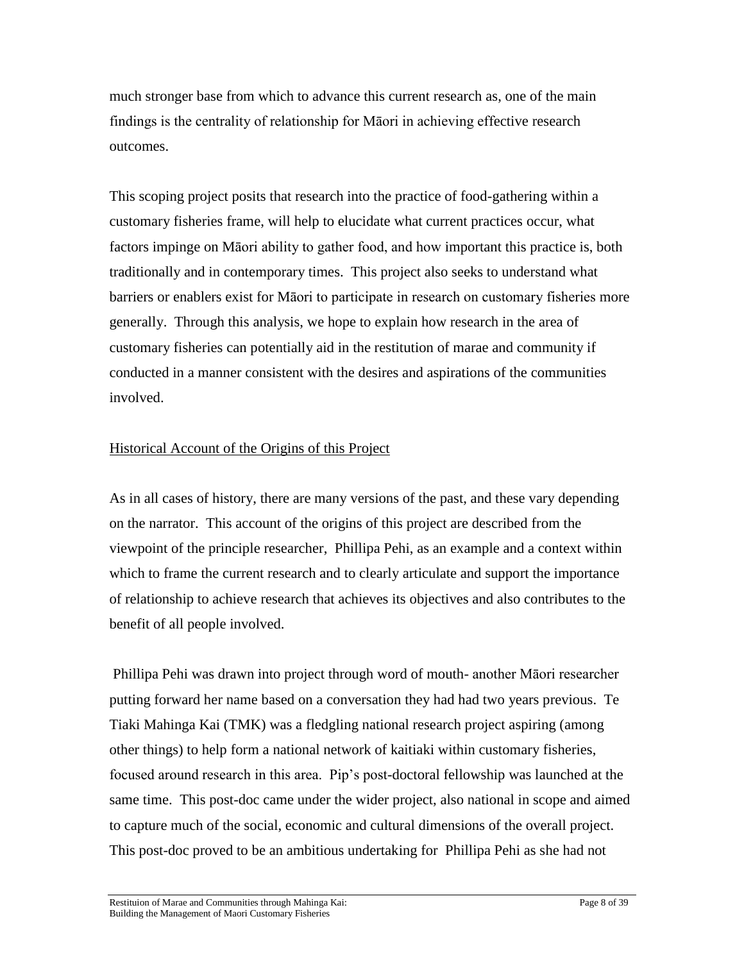much stronger base from which to advance this current research as, one of the main findings is the centrality of relationship for Māori in achieving effective research outcomes.

This scoping project posits that research into the practice of food-gathering within a customary fisheries frame, will help to elucidate what current practices occur, what factors impinge on Māori ability to gather food, and how important this practice is, both traditionally and in contemporary times. This project also seeks to understand what barriers or enablers exist for Māori to participate in research on customary fisheries more generally. Through this analysis, we hope to explain how research in the area of customary fisheries can potentially aid in the restitution of marae and community if conducted in a manner consistent with the desires and aspirations of the communities involved.

## <span id="page-7-0"></span>Historical Account of the Origins of this Project

As in all cases of history, there are many versions of the past, and these vary depending on the narrator. This account of the origins of this project are described from the viewpoint of the principle researcher, Phillipa Pehi, as an example and a context within which to frame the current research and to clearly articulate and support the importance of relationship to achieve research that achieves its objectives and also contributes to the benefit of all people involved.

Phillipa Pehi was drawn into project through word of mouth- another Māori researcher putting forward her name based on a conversation they had had two years previous. Te Tiaki Mahinga Kai (TMK) was a fledgling national research project aspiring (among other things) to help form a national network of kaitiaki within customary fisheries, focused around research in this area. Pip"s post-doctoral fellowship was launched at the same time. This post-doc came under the wider project, also national in scope and aimed to capture much of the social, economic and cultural dimensions of the overall project. This post-doc proved to be an ambitious undertaking for Phillipa Pehi as she had not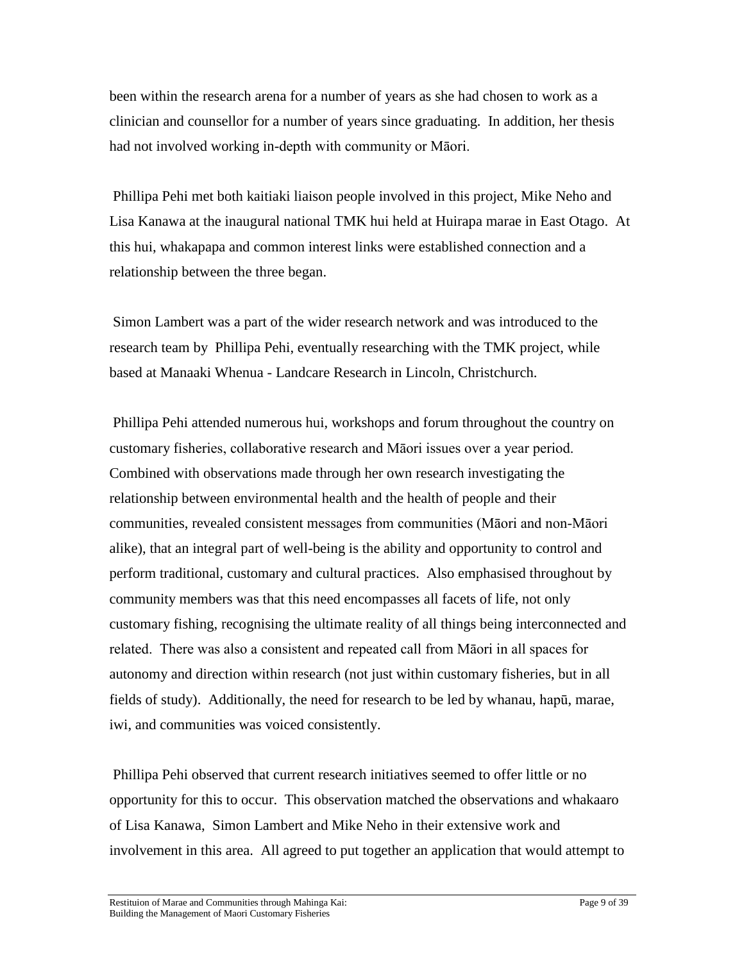been within the research arena for a number of years as she had chosen to work as a clinician and counsellor for a number of years since graduating. In addition, her thesis had not involved working in-depth with community or Māori.

Phillipa Pehi met both kaitiaki liaison people involved in this project, Mike Neho and Lisa Kanawa at the inaugural national TMK hui held at Huirapa marae in East Otago. At this hui, whakapapa and common interest links were established connection and a relationship between the three began.

Simon Lambert was a part of the wider research network and was introduced to the research team by Phillipa Pehi, eventually researching with the TMK project, while based at Manaaki Whenua - Landcare Research in Lincoln, Christchurch.

Phillipa Pehi attended numerous hui, workshops and forum throughout the country on customary fisheries, collaborative research and Māori issues over a year period. Combined with observations made through her own research investigating the relationship between environmental health and the health of people and their communities, revealed consistent messages from communities (Māori and non-Māori alike), that an integral part of well-being is the ability and opportunity to control and perform traditional, customary and cultural practices. Also emphasised throughout by community members was that this need encompasses all facets of life, not only customary fishing, recognising the ultimate reality of all things being interconnected and related. There was also a consistent and repeated call from Māori in all spaces for autonomy and direction within research (not just within customary fisheries, but in all fields of study). Additionally, the need for research to be led by whanau, hapū, marae, iwi, and communities was voiced consistently.

Phillipa Pehi observed that current research initiatives seemed to offer little or no opportunity for this to occur. This observation matched the observations and whakaaro of Lisa Kanawa, Simon Lambert and Mike Neho in their extensive work and involvement in this area. All agreed to put together an application that would attempt to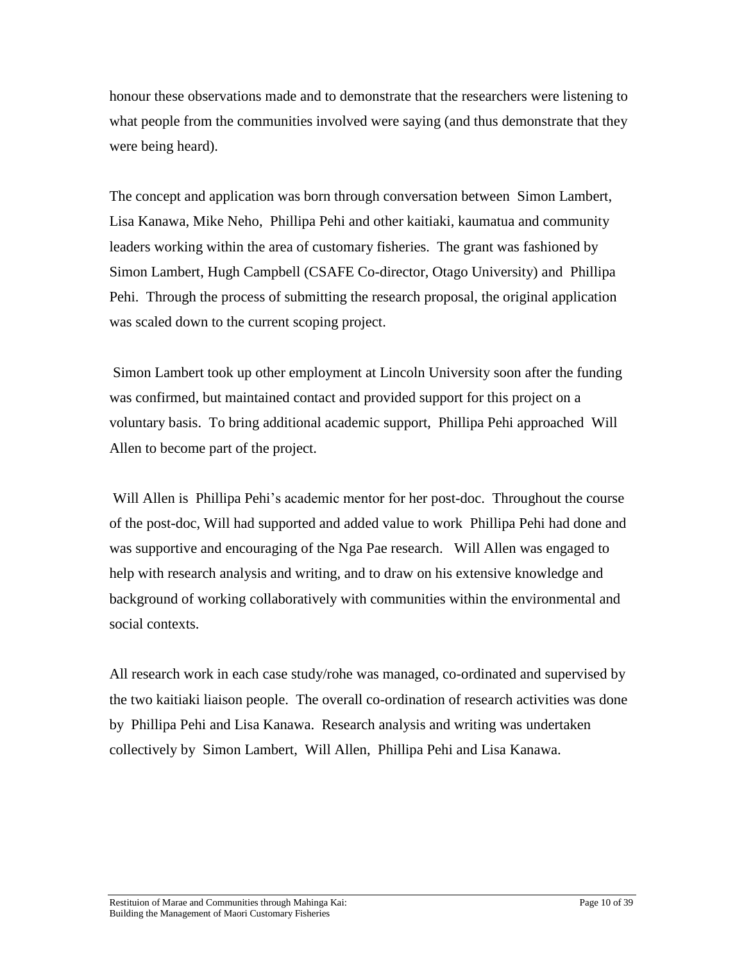honour these observations made and to demonstrate that the researchers were listening to what people from the communities involved were saying (and thus demonstrate that they were being heard).

The concept and application was born through conversation between Simon Lambert, Lisa Kanawa, Mike Neho, Phillipa Pehi and other kaitiaki, kaumatua and community leaders working within the area of customary fisheries. The grant was fashioned by Simon Lambert, Hugh Campbell (CSAFE Co-director, Otago University) and Phillipa Pehi. Through the process of submitting the research proposal, the original application was scaled down to the current scoping project.

Simon Lambert took up other employment at Lincoln University soon after the funding was confirmed, but maintained contact and provided support for this project on a voluntary basis. To bring additional academic support, Phillipa Pehi approached Will Allen to become part of the project.

Will Allen is Phillipa Pehi's academic mentor for her post-doc. Throughout the course of the post-doc, Will had supported and added value to work Phillipa Pehi had done and was supportive and encouraging of the Nga Pae research. Will Allen was engaged to help with research analysis and writing, and to draw on his extensive knowledge and background of working collaboratively with communities within the environmental and social contexts.

All research work in each case study/rohe was managed, co-ordinated and supervised by the two kaitiaki liaison people. The overall co-ordination of research activities was done by Phillipa Pehi and Lisa Kanawa. Research analysis and writing was undertaken collectively by Simon Lambert, Will Allen, Phillipa Pehi and Lisa Kanawa.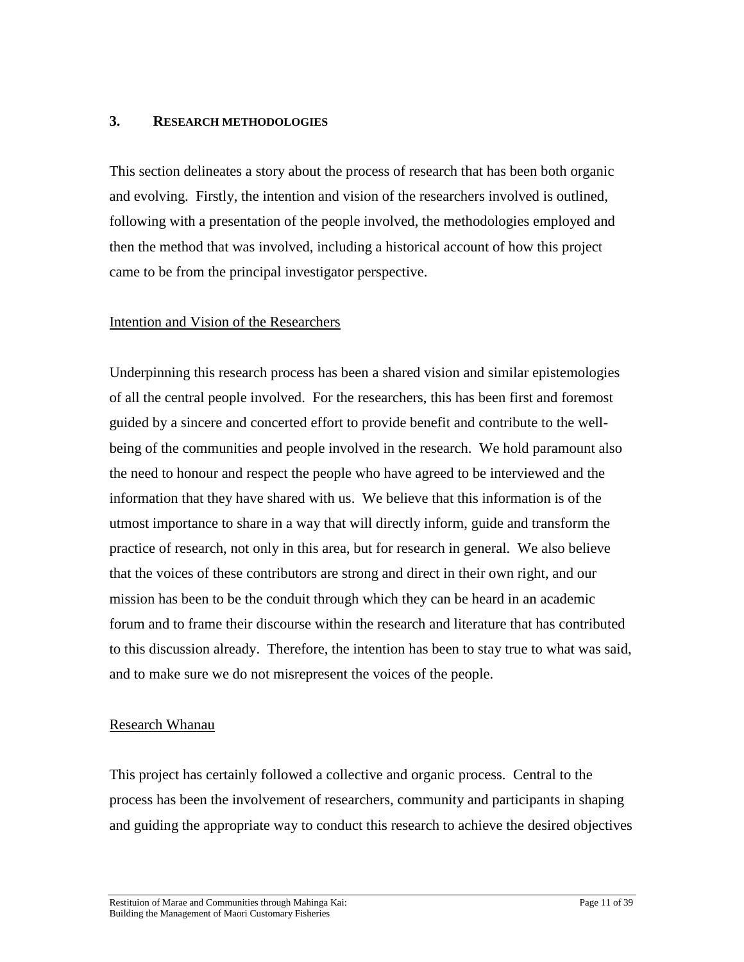#### **3. RESEARCH METHODOLOGIES**

This section delineates a story about the process of research that has been both organic and evolving. Firstly, the intention and vision of the researchers involved is outlined, following with a presentation of the people involved, the methodologies employed and then the method that was involved, including a historical account of how this project came to be from the principal investigator perspective.

#### <span id="page-10-0"></span>Intention and Vision of the Researchers

Underpinning this research process has been a shared vision and similar epistemologies of all the central people involved. For the researchers, this has been first and foremost guided by a sincere and concerted effort to provide benefit and contribute to the wellbeing of the communities and people involved in the research. We hold paramount also the need to honour and respect the people who have agreed to be interviewed and the information that they have shared with us. We believe that this information is of the utmost importance to share in a way that will directly inform, guide and transform the practice of research, not only in this area, but for research in general. We also believe that the voices of these contributors are strong and direct in their own right, and our mission has been to be the conduit through which they can be heard in an academic forum and to frame their discourse within the research and literature that has contributed to this discussion already. Therefore, the intention has been to stay true to what was said, and to make sure we do not misrepresent the voices of the people.

#### <span id="page-10-1"></span>Research Whanau

This project has certainly followed a collective and organic process. Central to the process has been the involvement of researchers, community and participants in shaping and guiding the appropriate way to conduct this research to achieve the desired objectives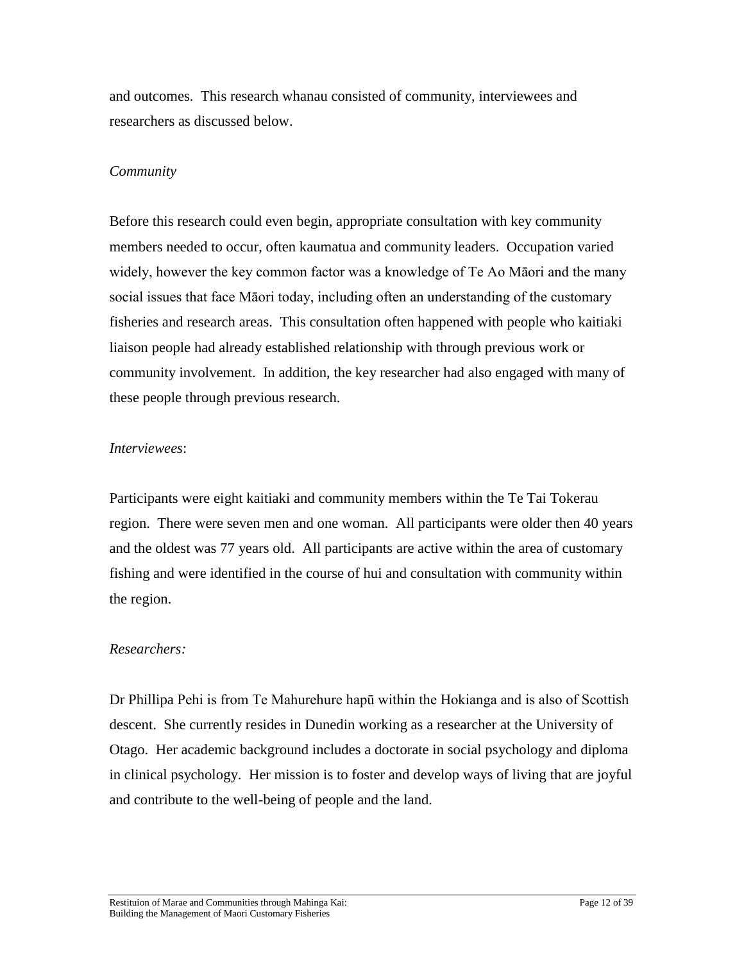and outcomes. This research whanau consisted of community, interviewees and researchers as discussed below.

#### *Community*

Before this research could even begin, appropriate consultation with key community members needed to occur, often kaumatua and community leaders. Occupation varied widely, however the key common factor was a knowledge of Te Ao Māori and the many social issues that face Māori today, including often an understanding of the customary fisheries and research areas. This consultation often happened with people who kaitiaki liaison people had already established relationship with through previous work or community involvement. In addition, the key researcher had also engaged with many of these people through previous research.

#### *Interviewees*:

Participants were eight kaitiaki and community members within the Te Tai Tokerau region. There were seven men and one woman. All participants were older then 40 years and the oldest was 77 years old. All participants are active within the area of customary fishing and were identified in the course of hui and consultation with community within the region.

## *Researchers:*

Dr Phillipa Pehi is from Te Mahurehure hapū within the Hokianga and is also of Scottish descent. She currently resides in Dunedin working as a researcher at the University of Otago. Her academic background includes a doctorate in social psychology and diploma in clinical psychology. Her mission is to foster and develop ways of living that are joyful and contribute to the well-being of people and the land.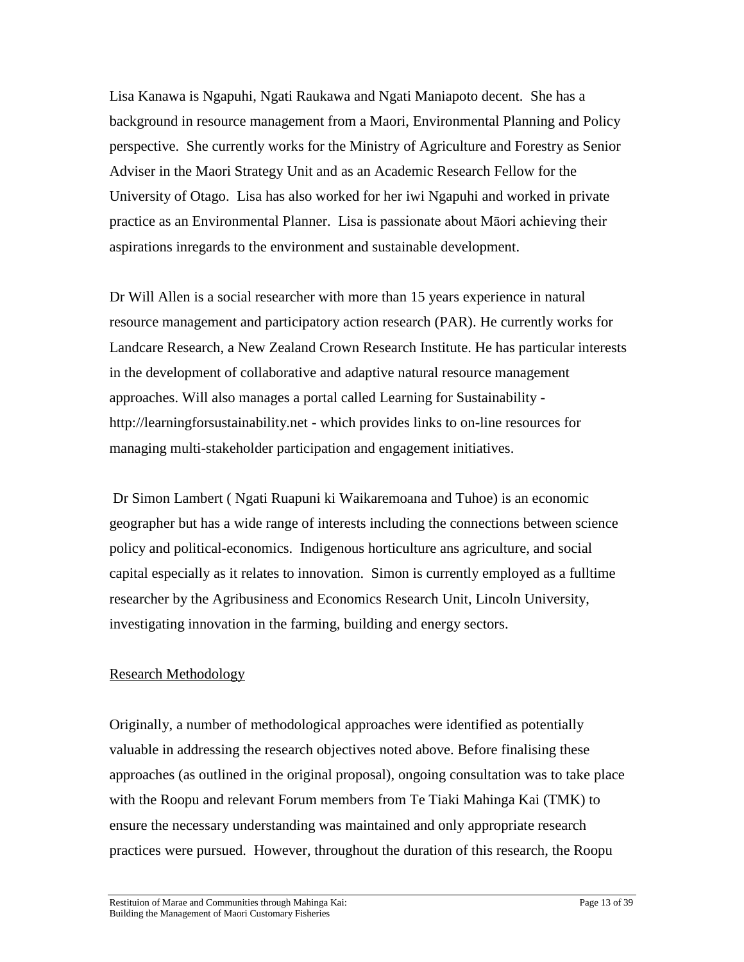Lisa Kanawa is Ngapuhi, Ngati Raukawa and Ngati Maniapoto decent. She has a background in resource management from a Maori, Environmental Planning and Policy perspective. She currently works for the Ministry of Agriculture and Forestry as Senior Adviser in the Maori Strategy Unit and as an Academic Research Fellow for the University of Otago. Lisa has also worked for her iwi Ngapuhi and worked in private practice as an Environmental Planner. Lisa is passionate about Māori achieving their aspirations inregards to the environment and sustainable development.

Dr Will Allen is a social researcher with more than 15 years experience in natural resource management and participatory action research (PAR). He currently works for Landcare Research, a New Zealand Crown Research Institute. He has particular interests in the development of collaborative and adaptive natural resource management approaches. Will also manages a portal called Learning for Sustainability http://learningforsustainability.net - which provides links to on-line resources for managing multi-stakeholder participation and engagement initiatives.

Dr Simon Lambert ( Ngati Ruapuni ki Waikaremoana and Tuhoe) is an economic geographer but has a wide range of interests including the connections between science policy and political-economics. Indigenous horticulture ans agriculture, and social capital especially as it relates to innovation. Simon is currently employed as a fulltime researcher by the Agribusiness and Economics Research Unit, Lincoln University, investigating innovation in the farming, building and energy sectors.

## Research Methodology

Originally, a number of methodological approaches were identified as potentially valuable in addressing the research objectives noted above. Before finalising these approaches (as outlined in the original proposal), ongoing consultation was to take place with the Roopu and relevant Forum members from Te Tiaki Mahinga Kai (TMK) to ensure the necessary understanding was maintained and only appropriate research practices were pursued. However, throughout the duration of this research, the Roopu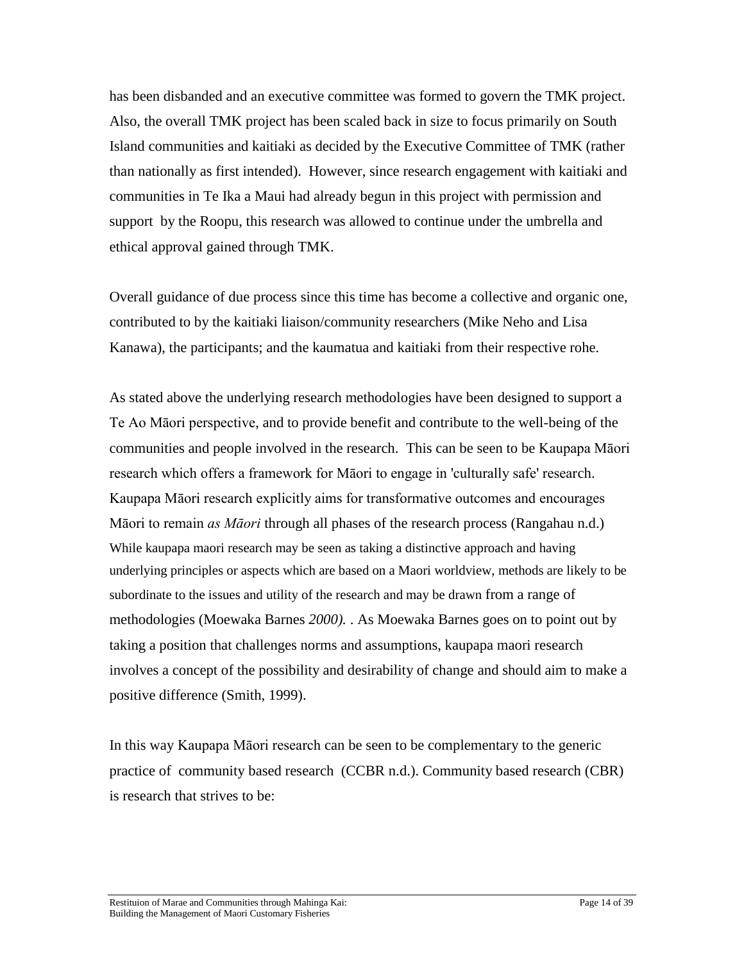has been disbanded and an executive committee was formed to govern the TMK project. Also, the overall TMK project has been scaled back in size to focus primarily on South Island communities and kaitiaki as decided by the Executive Committee of TMK (rather than nationally as first intended). However, since research engagement with kaitiaki and communities in Te Ika a Maui had already begun in this project with permission and support by the Roopu, this research was allowed to continue under the umbrella and ethical approval gained through TMK.

Overall guidance of due process since this time has become a collective and organic one, contributed to by the kaitiaki liaison/community researchers (Mike Neho and Lisa Kanawa), the participants; and the kaumatua and kaitiaki from their respective rohe.

As stated above the underlying research methodologies have been designed to support a Te Ao Māori perspective, and to provide benefit and contribute to the well-being of the communities and people involved in the research. This can be seen to be Kaupapa Māori research which offers a framework for Māori to engage in 'culturally safe' research. Kaupapa Māori research explicitly aims for transformative outcomes and encourages Māori to remain *as Māori* through all phases of the research process (Rangahau n.d.) While kaupapa maori research may be seen as taking a distinctive approach and having underlying principles or aspects which are based on a Maori worldview, methods are likely to be subordinate to the issues and utility of the research and may be drawn from a range of methodologies (Moewaka Barnes *2000).* . As Moewaka Barnes goes on to point out by taking a position that challenges norms and assumptions, kaupapa maori research involves a concept of the possibility and desirability of change and should aim to make a positive difference (Smith, 1999).

In this way Kaupapa Māori research can be seen to be complementary to the generic practice of community based research (CCBR n.d.). Community based research (CBR) is research that strives to be: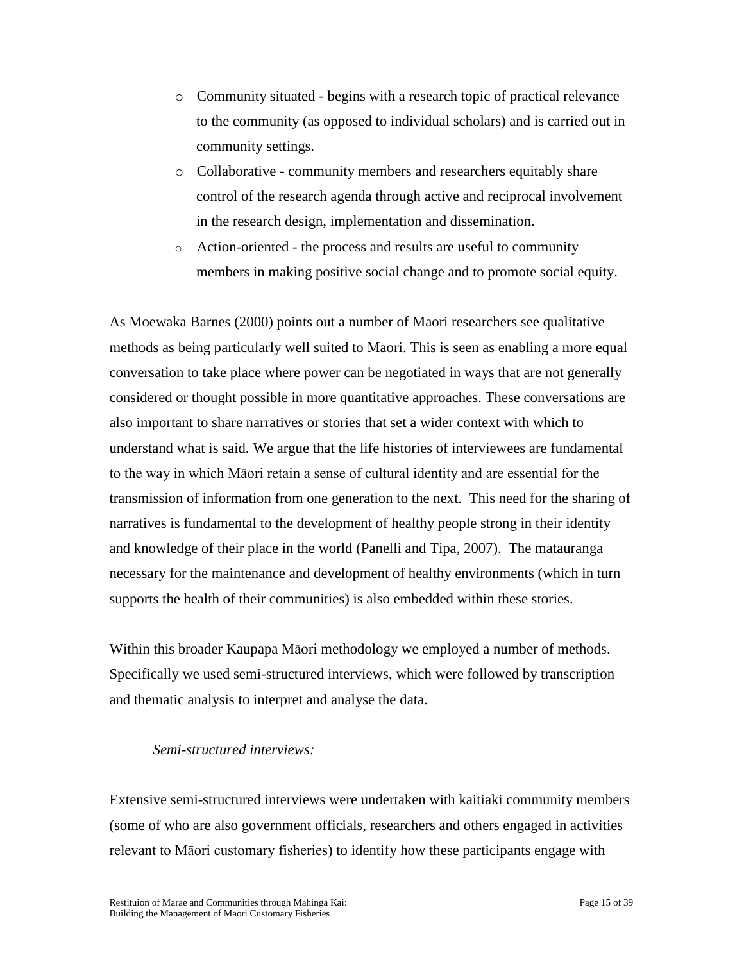- o Community situated begins with a research topic of practical relevance to the community (as opposed to individual scholars) and is carried out in community settings.
- o Collaborative community members and researchers equitably share control of the research agenda through active and reciprocal involvement in the research design, implementation and dissemination.
- o Action-oriented the process and results are useful to community members in making positive social change and to promote social equity.

As Moewaka Barnes (2000) points out a number of Maori researchers see qualitative methods as being particularly well suited to Maori. This is seen as enabling a more equal conversation to take place where power can be negotiated in ways that are not generally considered or thought possible in more quantitative approaches. These conversations are also important to share narratives or stories that set a wider context with which to understand what is said. We argue that the life histories of interviewees are fundamental to the way in which Māori retain a sense of cultural identity and are essential for the transmission of information from one generation to the next. This need for the sharing of narratives is fundamental to the development of healthy people strong in their identity and knowledge of their place in the world (Panelli and Tipa, 2007). The matauranga necessary for the maintenance and development of healthy environments (which in turn supports the health of their communities) is also embedded within these stories.

Within this broader Kaupapa Māori methodology we employed a number of methods. Specifically we used semi-structured interviews, which were followed by transcription and thematic analysis to interpret and analyse the data.

## *Semi-structured interviews:*

Extensive semi-structured interviews were undertaken with kaitiaki community members (some of who are also government officials, researchers and others engaged in activities relevant to Māori customary fisheries) to identify how these participants engage with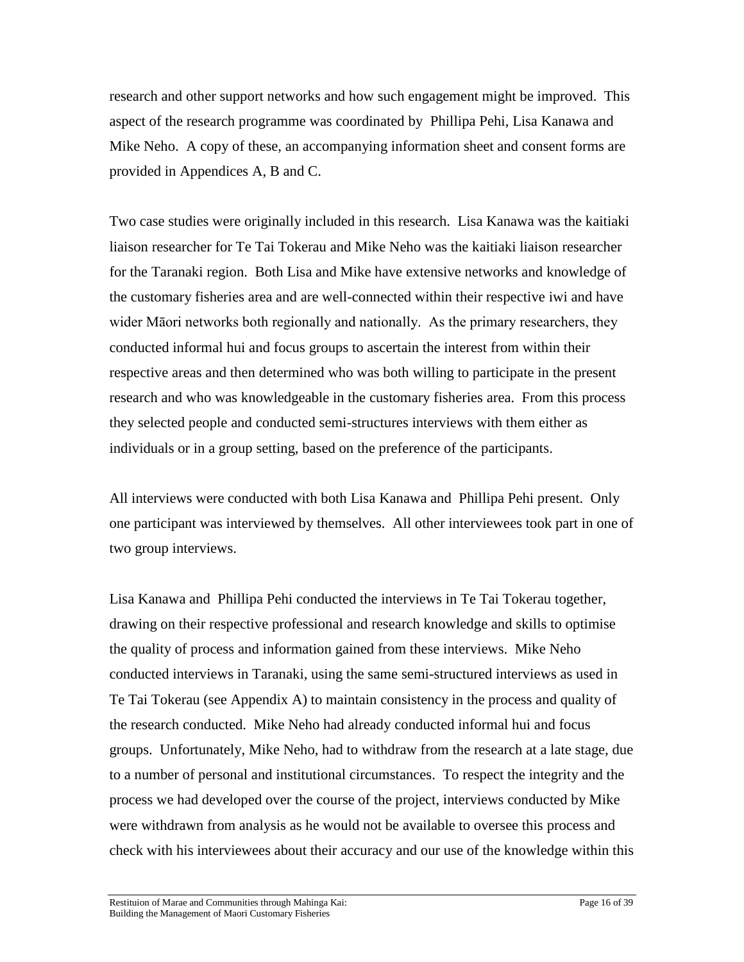research and other support networks and how such engagement might be improved. This aspect of the research programme was coordinated by Phillipa Pehi, Lisa Kanawa and Mike Neho. A copy of these, an accompanying information sheet and consent forms are provided in Appendices A, B and C.

Two case studies were originally included in this research. Lisa Kanawa was the kaitiaki liaison researcher for Te Tai Tokerau and Mike Neho was the kaitiaki liaison researcher for the Taranaki region. Both Lisa and Mike have extensive networks and knowledge of the customary fisheries area and are well-connected within their respective iwi and have wider Māori networks both regionally and nationally. As the primary researchers, they conducted informal hui and focus groups to ascertain the interest from within their respective areas and then determined who was both willing to participate in the present research and who was knowledgeable in the customary fisheries area. From this process they selected people and conducted semi-structures interviews with them either as individuals or in a group setting, based on the preference of the participants.

All interviews were conducted with both Lisa Kanawa and Phillipa Pehi present. Only one participant was interviewed by themselves. All other interviewees took part in one of two group interviews.

Lisa Kanawa and Phillipa Pehi conducted the interviews in Te Tai Tokerau together, drawing on their respective professional and research knowledge and skills to optimise the quality of process and information gained from these interviews. Mike Neho conducted interviews in Taranaki, using the same semi-structured interviews as used in Te Tai Tokerau (see Appendix A) to maintain consistency in the process and quality of the research conducted. Mike Neho had already conducted informal hui and focus groups. Unfortunately, Mike Neho, had to withdraw from the research at a late stage, due to a number of personal and institutional circumstances. To respect the integrity and the process we had developed over the course of the project, interviews conducted by Mike were withdrawn from analysis as he would not be available to oversee this process and check with his interviewees about their accuracy and our use of the knowledge within this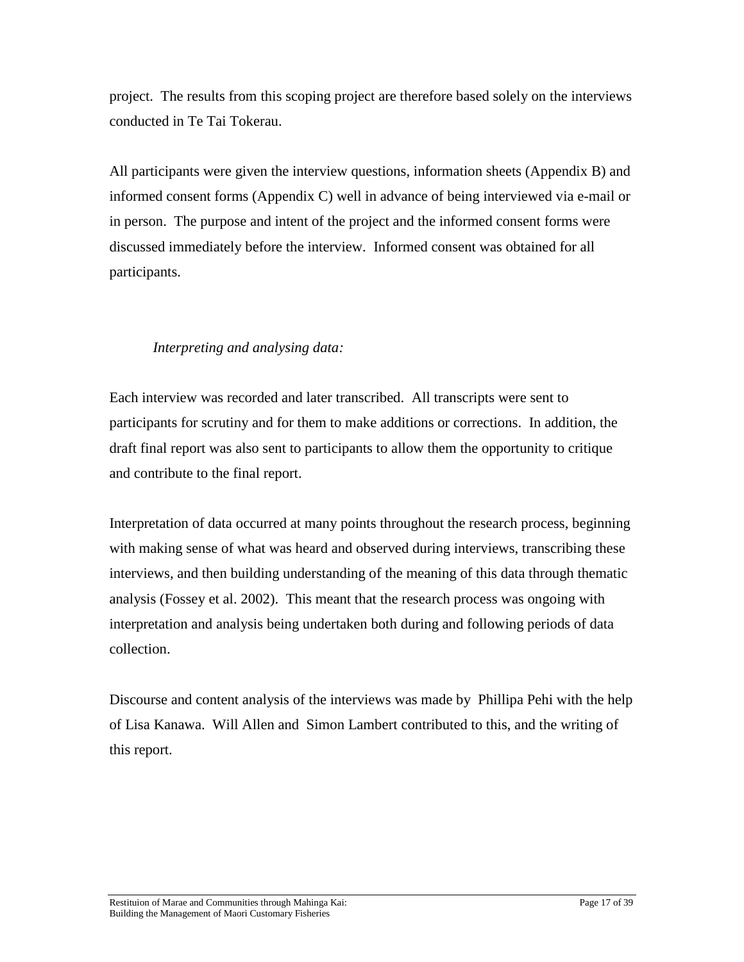project. The results from this scoping project are therefore based solely on the interviews conducted in Te Tai Tokerau.

All participants were given the interview questions, information sheets (Appendix B) and informed consent forms (Appendix C) well in advance of being interviewed via e-mail or in person. The purpose and intent of the project and the informed consent forms were discussed immediately before the interview. Informed consent was obtained for all participants.

## *Interpreting and analysing data:*

Each interview was recorded and later transcribed. All transcripts were sent to participants for scrutiny and for them to make additions or corrections. In addition, the draft final report was also sent to participants to allow them the opportunity to critique and contribute to the final report.

Interpretation of data occurred at many points throughout the research process, beginning with making sense of what was heard and observed during interviews, transcribing these interviews, and then building understanding of the meaning of this data through thematic analysis (Fossey et al. 2002). This meant that the research process was ongoing with interpretation and analysis being undertaken both during and following periods of data collection.

Discourse and content analysis of the interviews was made by Phillipa Pehi with the help of Lisa Kanawa. Will Allen and Simon Lambert contributed to this, and the writing of this report.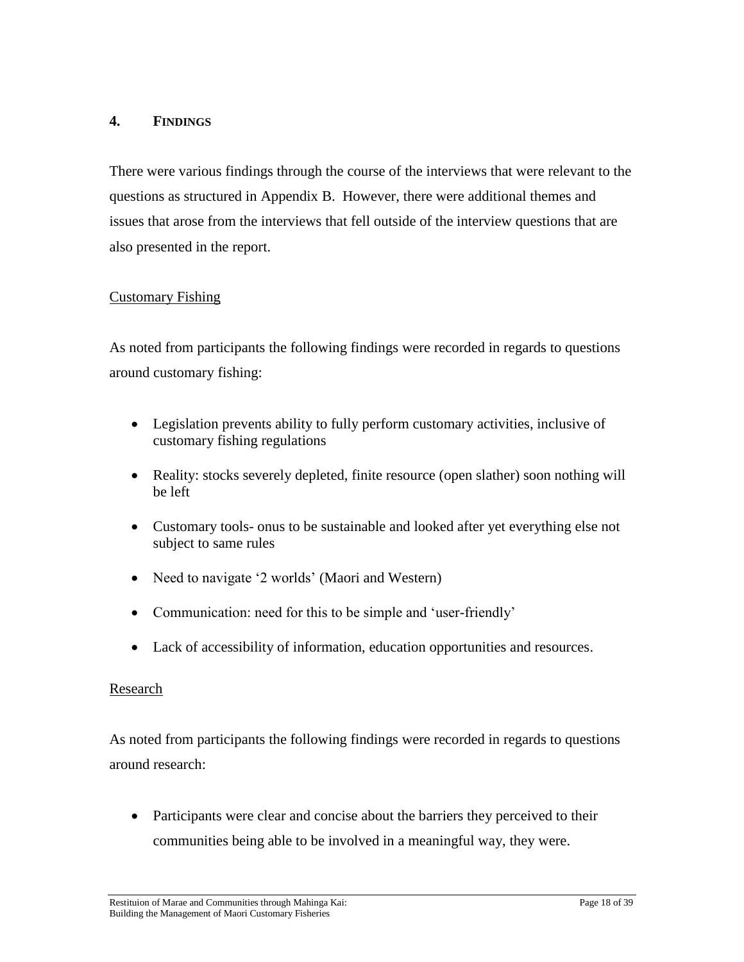#### **4. FINDINGS**

There were various findings through the course of the interviews that were relevant to the questions as structured in Appendix B. However, there were additional themes and issues that arose from the interviews that fell outside of the interview questions that are also presented in the report.

#### <span id="page-17-0"></span>Customary Fishing

As noted from participants the following findings were recorded in regards to questions around customary fishing:

- Legislation prevents ability to fully perform customary activities, inclusive of customary fishing regulations
- Reality: stocks severely depleted, finite resource (open slather) soon nothing will be left
- Customary tools- onus to be sustainable and looked after yet everything else not subject to same rules
- Need to navigate '2 worlds' (Maori and Western)
- Communication: need for this to be simple and 'user-friendly'
- Lack of accessibility of information, education opportunities and resources.

#### <span id="page-17-1"></span>Research

As noted from participants the following findings were recorded in regards to questions around research:

• Participants were clear and concise about the barriers they perceived to their communities being able to be involved in a meaningful way, they were.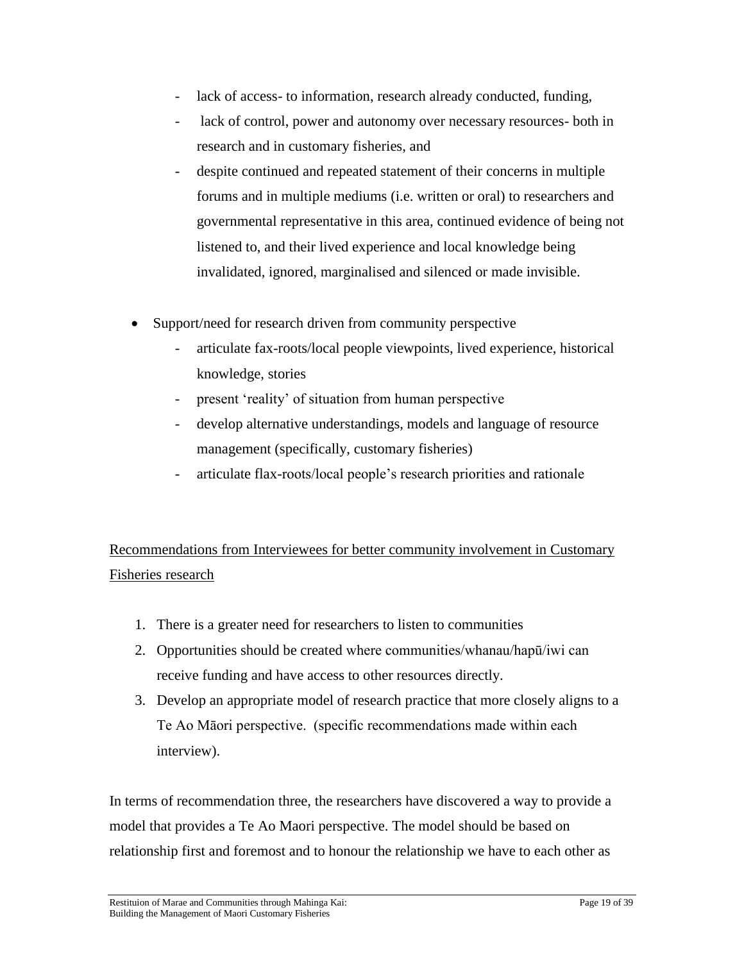- lack of access- to information, research already conducted, funding,
- lack of control, power and autonomy over necessary resources- both in research and in customary fisheries, and
- despite continued and repeated statement of their concerns in multiple forums and in multiple mediums (i.e. written or oral) to researchers and governmental representative in this area, continued evidence of being not listened to, and their lived experience and local knowledge being invalidated, ignored, marginalised and silenced or made invisible.
- Support/need for research driven from community perspective
	- articulate fax-roots/local people viewpoints, lived experience, historical knowledge, stories
	- present 'reality' of situation from human perspective
	- develop alternative understandings, models and language of resource management (specifically, customary fisheries)
	- articulate flax-roots/local people"s research priorities and rationale

# Recommendations from Interviewees for better community involvement in Customary Fisheries research

- 1. There is a greater need for researchers to listen to communities
- 2. Opportunities should be created where communities/whanau/hapū/iwi can receive funding and have access to other resources directly.
- 3. Develop an appropriate model of research practice that more closely aligns to a Te Ao Māori perspective. (specific recommendations made within each interview).

In terms of recommendation three, the researchers have discovered a way to provide a model that provides a Te Ao Maori perspective. The model should be based on relationship first and foremost and to honour the relationship we have to each other as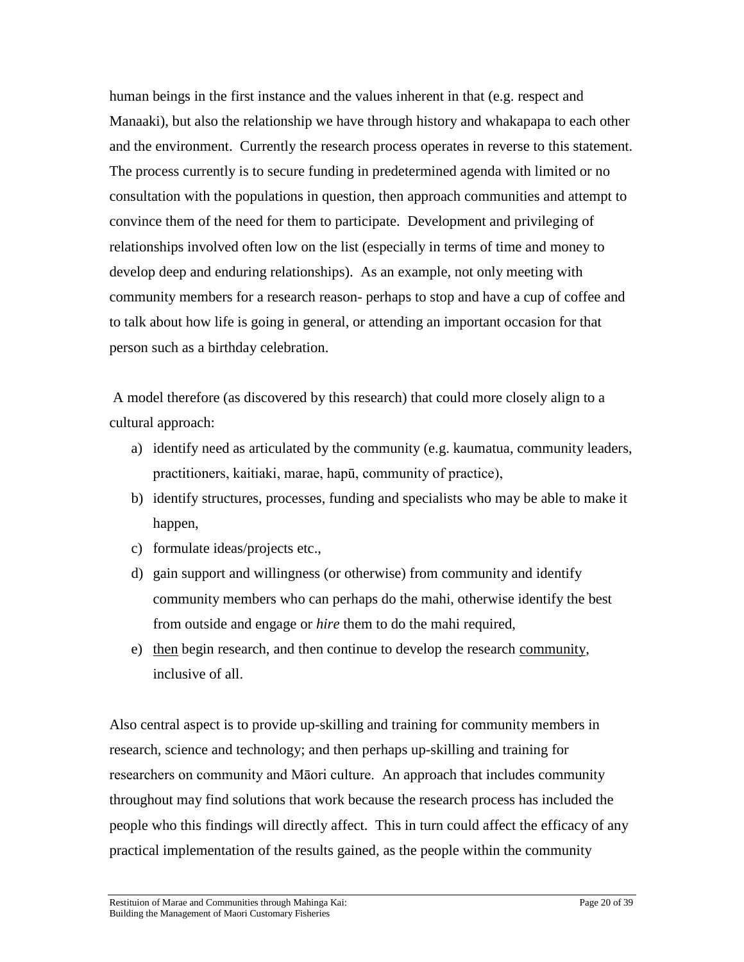human beings in the first instance and the values inherent in that (e.g. respect and Manaaki), but also the relationship we have through history and whakapapa to each other and the environment. Currently the research process operates in reverse to this statement. The process currently is to secure funding in predetermined agenda with limited or no consultation with the populations in question, then approach communities and attempt to convince them of the need for them to participate. Development and privileging of relationships involved often low on the list (especially in terms of time and money to develop deep and enduring relationships). As an example, not only meeting with community members for a research reason- perhaps to stop and have a cup of coffee and to talk about how life is going in general, or attending an important occasion for that person such as a birthday celebration.

A model therefore (as discovered by this research) that could more closely align to a cultural approach:

- a) identify need as articulated by the community (e.g. kaumatua, community leaders, practitioners, kaitiaki, marae, hapū, community of practice),
- b) identify structures, processes, funding and specialists who may be able to make it happen,
- c) formulate ideas/projects etc.,
- d) gain support and willingness (or otherwise) from community and identify community members who can perhaps do the mahi, otherwise identify the best from outside and engage or *hire* them to do the mahi required,
- e) then begin research, and then continue to develop the research community, inclusive of all.

Also central aspect is to provide up-skilling and training for community members in research, science and technology; and then perhaps up-skilling and training for researchers on community and Māori culture. An approach that includes community throughout may find solutions that work because the research process has included the people who this findings will directly affect. This in turn could affect the efficacy of any practical implementation of the results gained, as the people within the community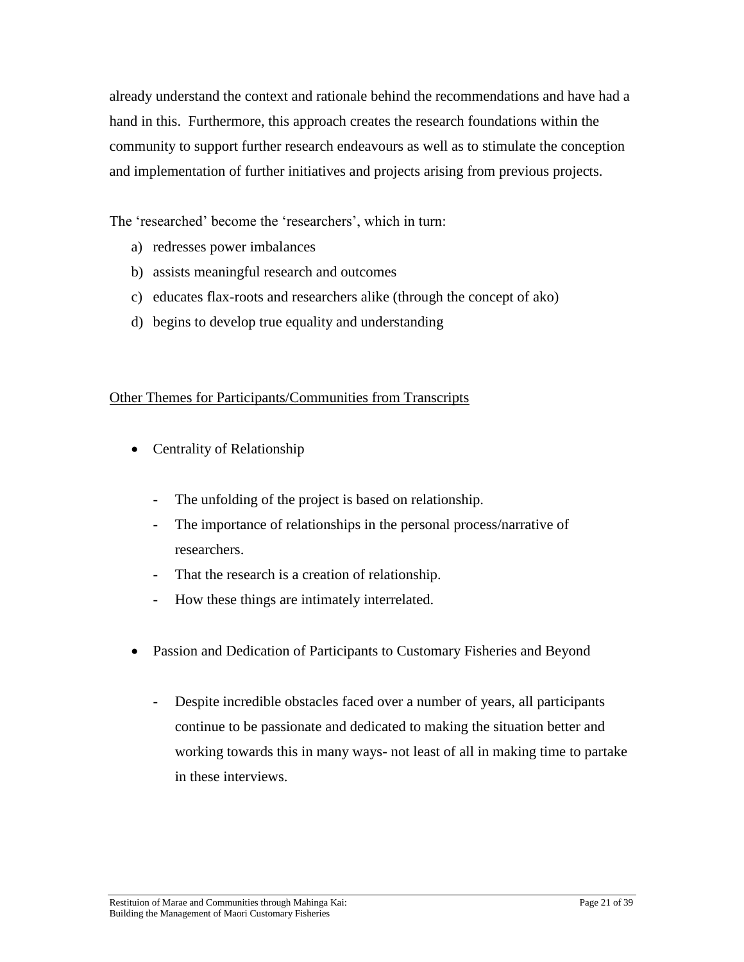already understand the context and rationale behind the recommendations and have had a hand in this. Furthermore, this approach creates the research foundations within the community to support further research endeavours as well as to stimulate the conception and implementation of further initiatives and projects arising from previous projects.

The 'researched' become the 'researchers', which in turn:

- a) redresses power imbalances
- b) assists meaningful research and outcomes
- c) educates flax-roots and researchers alike (through the concept of ako)
- d) begins to develop true equality and understanding

## <span id="page-20-0"></span>Other Themes for Participants/Communities from Transcripts

- Centrality of Relationship
	- The unfolding of the project is based on relationship.
	- The importance of relationships in the personal process/narrative of researchers.
	- That the research is a creation of relationship.
	- How these things are intimately interrelated.
- Passion and Dedication of Participants to Customary Fisheries and Beyond
	- Despite incredible obstacles faced over a number of years, all participants continue to be passionate and dedicated to making the situation better and working towards this in many ways- not least of all in making time to partake in these interviews.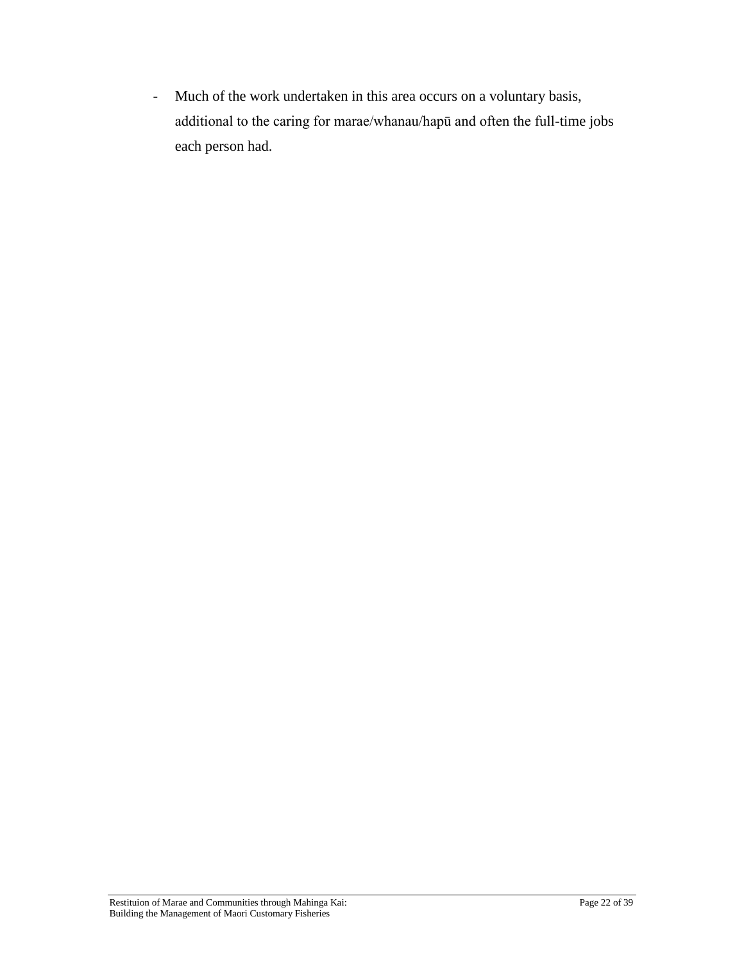- Much of the work undertaken in this area occurs on a voluntary basis, additional to the caring for marae/whanau/hapū and often the full-time jobs each person had.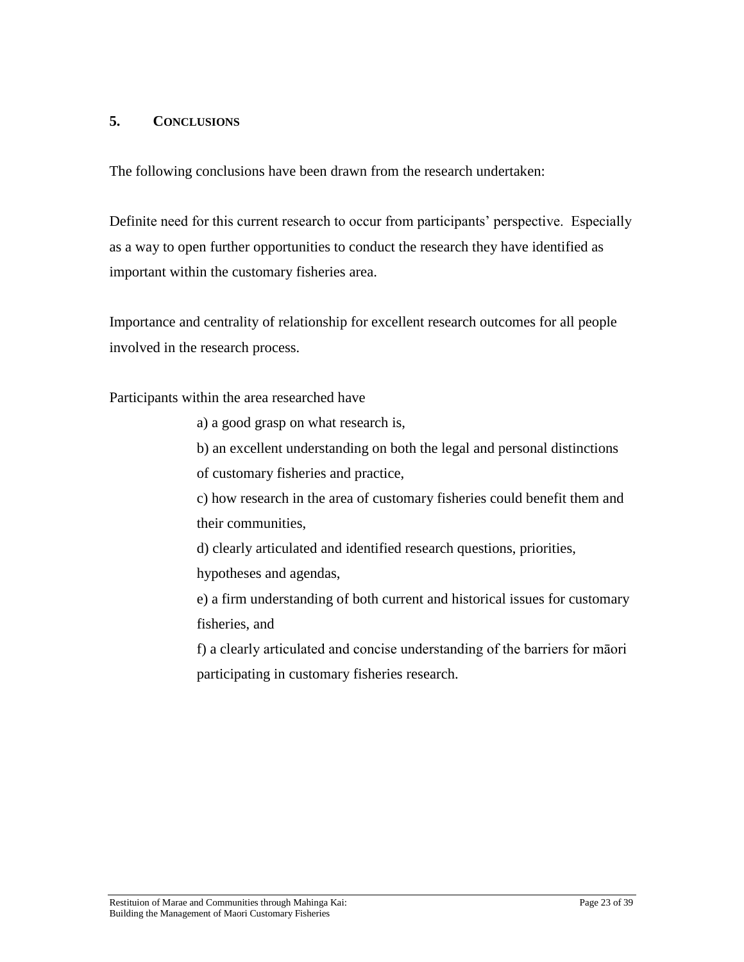## **5. CONCLUSIONS**

The following conclusions have been drawn from the research undertaken:

Definite need for this current research to occur from participants' perspective. Especially as a way to open further opportunities to conduct the research they have identified as important within the customary fisheries area.

Importance and centrality of relationship for excellent research outcomes for all people involved in the research process.

Participants within the area researched have

a) a good grasp on what research is,

b) an excellent understanding on both the legal and personal distinctions of customary fisheries and practice,

c) how research in the area of customary fisheries could benefit them and their communities,

d) clearly articulated and identified research questions, priorities,

hypotheses and agendas,

e) a firm understanding of both current and historical issues for customary fisheries, and

f) a clearly articulated and concise understanding of the barriers for māori participating in customary fisheries research.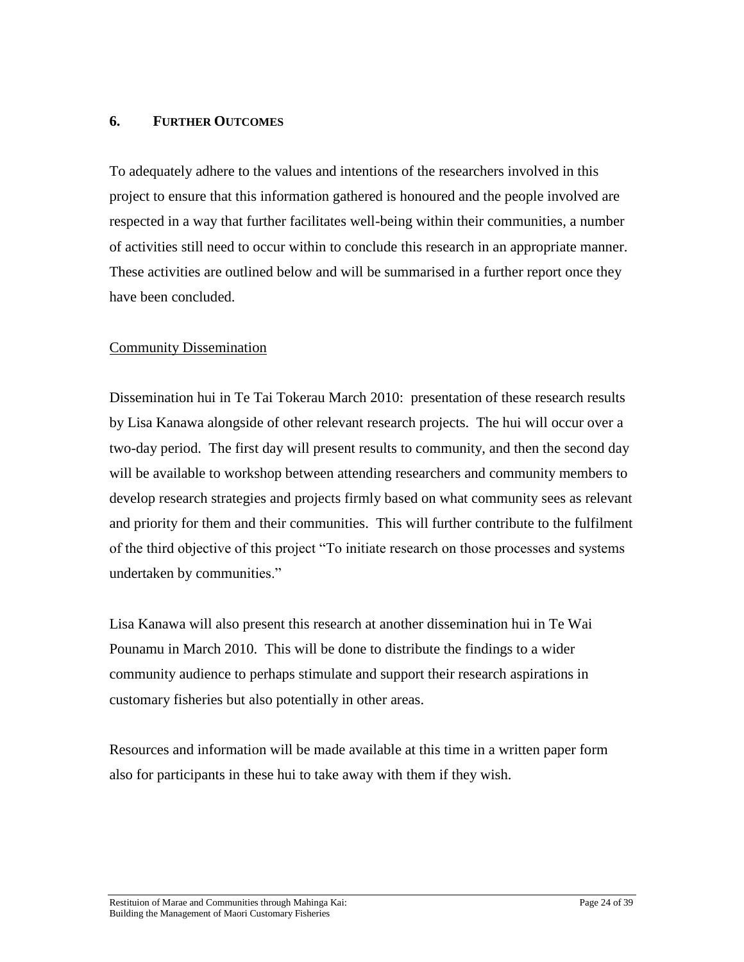#### **6. FURTHER OUTCOMES**

To adequately adhere to the values and intentions of the researchers involved in this project to ensure that this information gathered is honoured and the people involved are respected in a way that further facilitates well-being within their communities, a number of activities still need to occur within to conclude this research in an appropriate manner. These activities are outlined below and will be summarised in a further report once they have been concluded.

#### <span id="page-23-0"></span>Community Dissemination

Dissemination hui in Te Tai Tokerau March 2010: presentation of these research results by Lisa Kanawa alongside of other relevant research projects. The hui will occur over a two-day period. The first day will present results to community, and then the second day will be available to workshop between attending researchers and community members to develop research strategies and projects firmly based on what community sees as relevant and priority for them and their communities. This will further contribute to the fulfilment of the third objective of this project "To initiate research on those processes and systems undertaken by communities."

Lisa Kanawa will also present this research at another dissemination hui in Te Wai Pounamu in March 2010. This will be done to distribute the findings to a wider community audience to perhaps stimulate and support their research aspirations in customary fisheries but also potentially in other areas.

<span id="page-23-1"></span>Resources and information will be made available at this time in a written paper form also for participants in these hui to take away with them if they wish.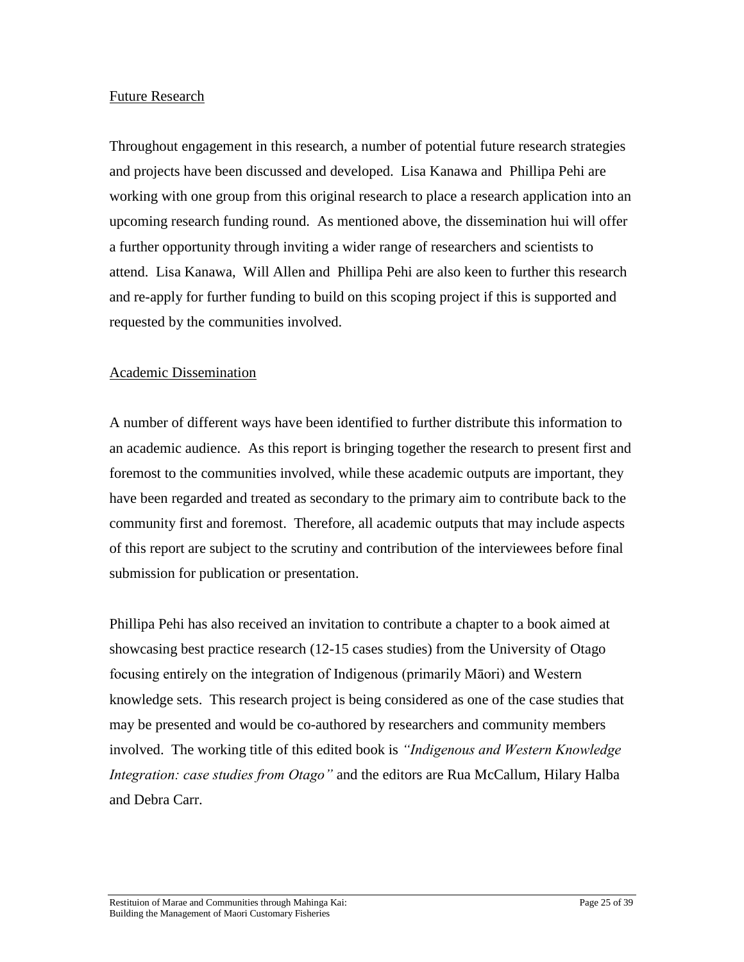#### Future Research

Throughout engagement in this research, a number of potential future research strategies and projects have been discussed and developed. Lisa Kanawa and Phillipa Pehi are working with one group from this original research to place a research application into an upcoming research funding round. As mentioned above, the dissemination hui will offer a further opportunity through inviting a wider range of researchers and scientists to attend. Lisa Kanawa, Will Allen and Phillipa Pehi are also keen to further this research and re-apply for further funding to build on this scoping project if this is supported and requested by the communities involved.

#### <span id="page-24-0"></span>Academic Dissemination

A number of different ways have been identified to further distribute this information to an academic audience. As this report is bringing together the research to present first and foremost to the communities involved, while these academic outputs are important, they have been regarded and treated as secondary to the primary aim to contribute back to the community first and foremost. Therefore, all academic outputs that may include aspects of this report are subject to the scrutiny and contribution of the interviewees before final submission for publication or presentation.

<span id="page-24-1"></span>Phillipa Pehi has also received an invitation to contribute a chapter to a book aimed at showcasing best practice research (12-15 cases studies) from the University of Otago focusing entirely on the integration of Indigenous (primarily Māori) and Western knowledge sets. This research project is being considered as one of the case studies that may be presented and would be co-authored by researchers and community members involved. The working title of this edited book is *"Indigenous and Western Knowledge Integration: case studies from Otago"* and the editors are Rua McCallum, Hilary Halba and Debra Carr.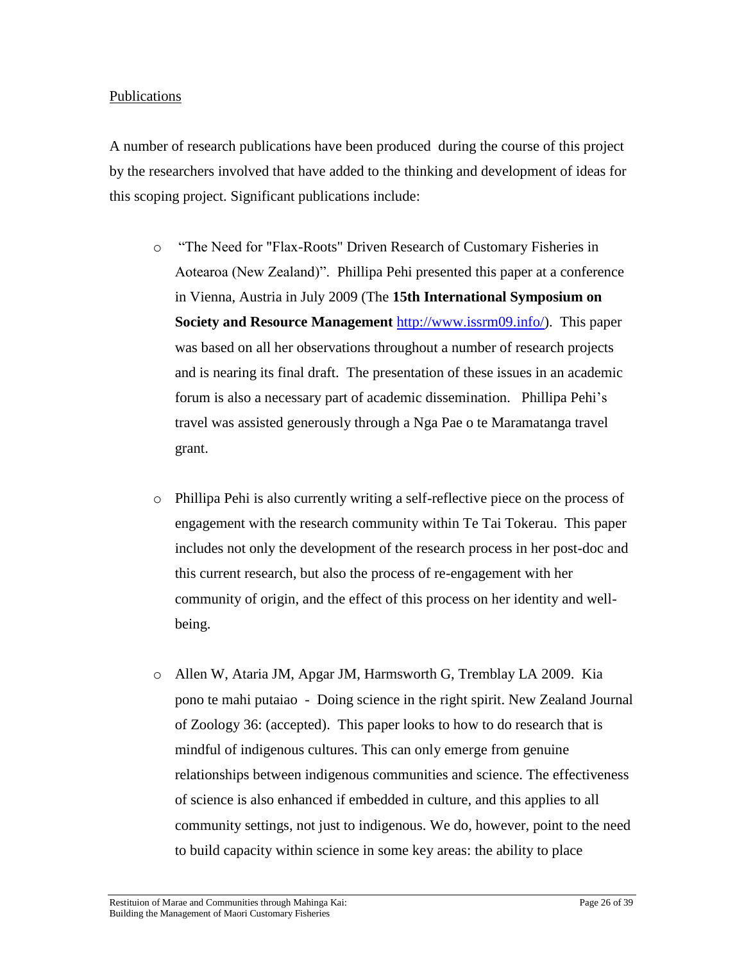#### Publications

A number of research publications have been produced during the course of this project by the researchers involved that have added to the thinking and development of ideas for this scoping project. Significant publications include:

- o "The Need for "Flax-Roots" Driven Research of Customary Fisheries in Aotearoa (New Zealand)". Phillipa Pehi presented this paper at a conference in Vienna, Austria in July 2009 (The **15th International Symposium on Society and Resource Management** [http://www.issrm09.info/\)](http://www.issrm09.info/). This paper was based on all her observations throughout a number of research projects and is nearing its final draft. The presentation of these issues in an academic forum is also a necessary part of academic dissemination. Phillipa Pehi"s travel was assisted generously through a Nga Pae o te Maramatanga travel grant.
- o Phillipa Pehi is also currently writing a self-reflective piece on the process of engagement with the research community within Te Tai Tokerau. This paper includes not only the development of the research process in her post-doc and this current research, but also the process of re-engagement with her community of origin, and the effect of this process on her identity and wellbeing.
- o Allen W, Ataria JM, Apgar JM, Harmsworth G, Tremblay LA 2009. Kia pono te mahi putaiao - Doing science in the right spirit. New Zealand Journal of Zoology 36: (accepted). This paper looks to how to do research that is mindful of indigenous cultures. This can only emerge from genuine relationships between indigenous communities and science. The effectiveness of science is also enhanced if embedded in culture, and this applies to all community settings, not just to indigenous. We do, however, point to the need to build capacity within science in some key areas: the ability to place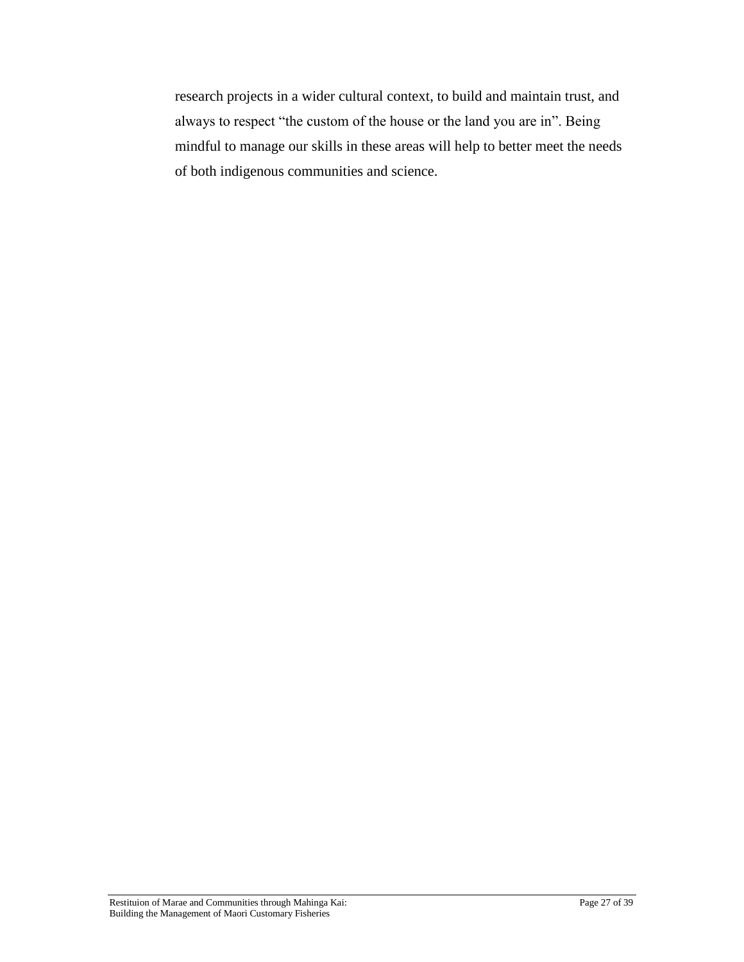research projects in a wider cultural context, to build and maintain trust, and always to respect "the custom of the house or the land you are in". Being mindful to manage our skills in these areas will help to better meet the needs of both indigenous communities and science.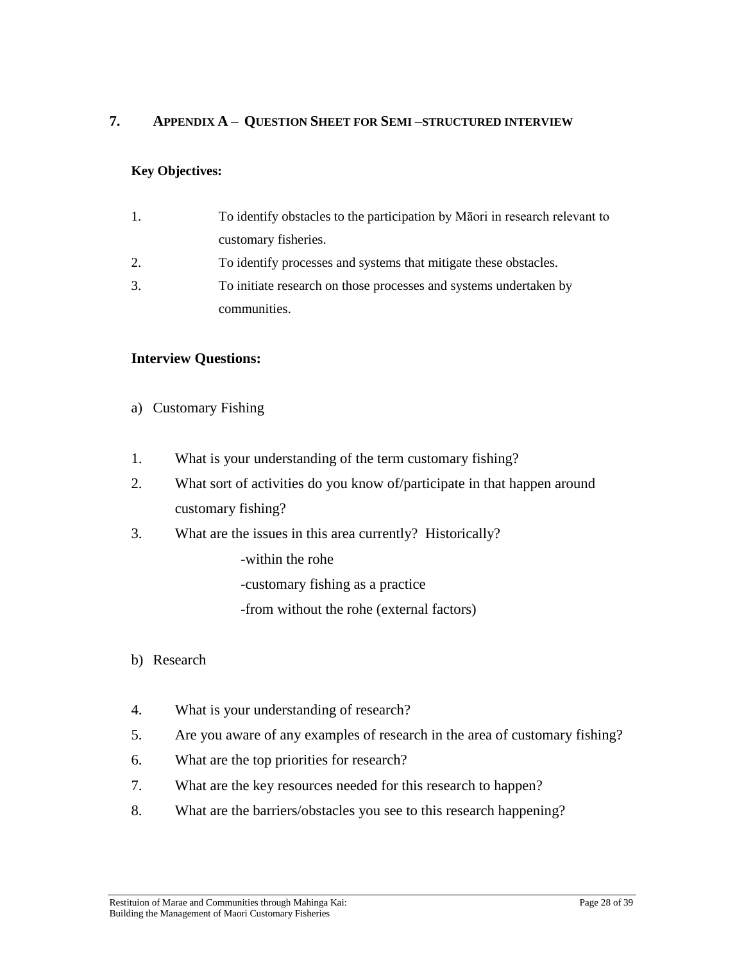## **7. APPENDIX A – QUESTION SHEET FOR SEMI –STRUCTURED INTERVIEW**

#### **Key Objectives:**

| To identify obstacles to the participation by Maori in research relevant to |
|-----------------------------------------------------------------------------|
| customary fisheries.                                                        |
| To identify processes and systems that mitigate these obstacles.            |

3. To initiate research on those processes and systems undertaken by communities.

#### **Interview Questions:**

- a) Customary Fishing
- 1. What is your understanding of the term customary fishing?
- 2. What sort of activities do you know of/participate in that happen around customary fishing?
- 3. What are the issues in this area currently? Historically?
	- -within the rohe
	- -customary fishing as a practice
	- -from without the rohe (external factors)
- b) Research
- 4. What is your understanding of research?
- 5. Are you aware of any examples of research in the area of customary fishing?
- 6. What are the top priorities for research?
- 7. What are the key resources needed for this research to happen?
- 8. What are the barriers/obstacles you see to this research happening?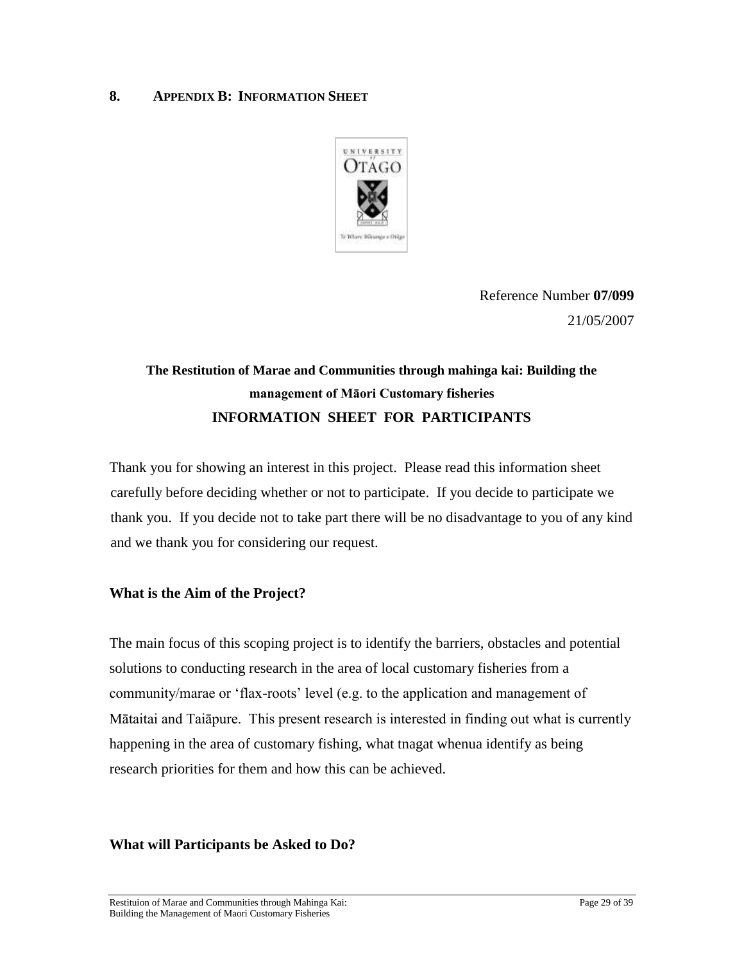#### **8. APPENDIX B: INFORMATION SHEET**



Reference Number **07/099** 21/05/2007

## **The Restitution of Marae and Communities through mahinga kai: Building the management of Māori Customary fisheries INFORMATION SHEET FOR PARTICIPANTS**

Thank you for showing an interest in this project. Please read this information sheet carefully before deciding whether or not to participate. If you decide to participate we thank you. If you decide not to take part there will be no disadvantage to you of any kind and we thank you for considering our request.

## **What is the Aim of the Project?**

The main focus of this scoping project is to identify the barriers, obstacles and potential solutions to conducting research in the area of local customary fisheries from a community/marae or "flax-roots" level (e.g. to the application and management of Mātaitai and Taiāpure. This present research is interested in finding out what is currently happening in the area of customary fishing, what tnagat whenua identify as being research priorities for them and how this can be achieved.

## **What will Participants be Asked to Do?**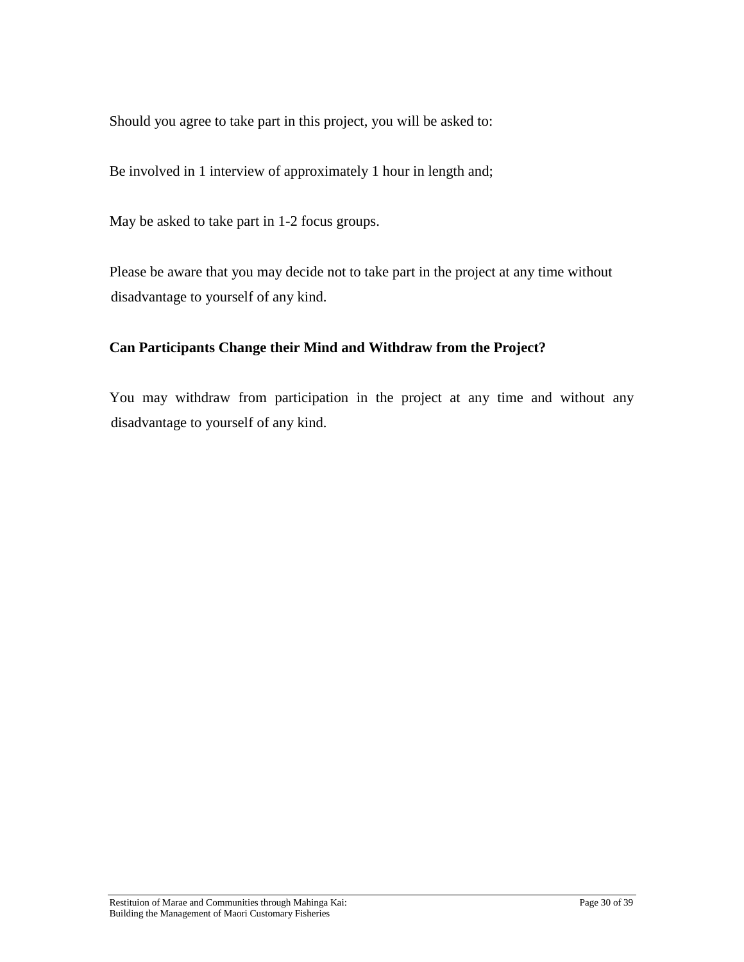Should you agree to take part in this project, you will be asked to:

Be involved in 1 interview of approximately 1 hour in length and;

May be asked to take part in 1-2 focus groups.

Please be aware that you may decide not to take part in the project at any time without disadvantage to yourself of any kind.

## **Can Participants Change their Mind and Withdraw from the Project?**

You may withdraw from participation in the project at any time and without any disadvantage to yourself of any kind.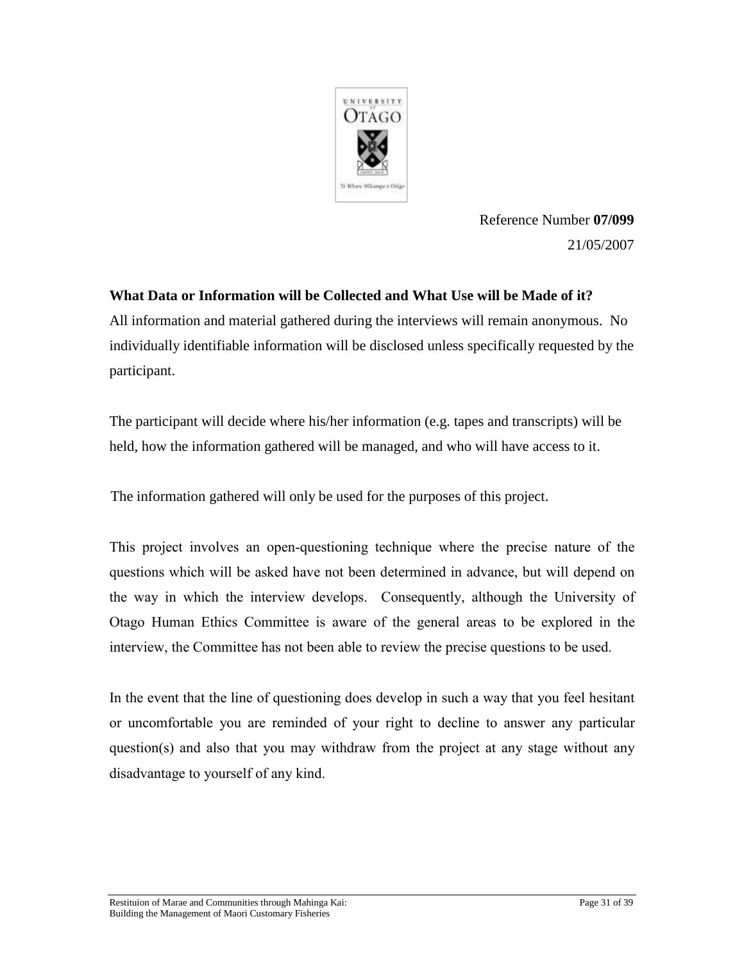

Reference Number **07/099** 21/05/2007

## **What Data or Information will be Collected and What Use will be Made of it?**

All information and material gathered during the interviews will remain anonymous. No individually identifiable information will be disclosed unless specifically requested by the participant.

The participant will decide where his/her information (e.g. tapes and transcripts) will be held, how the information gathered will be managed, and who will have access to it.

The information gathered will only be used for the purposes of this project.

This project involves an open-questioning technique where the precise nature of the questions which will be asked have not been determined in advance, but will depend on the way in which the interview develops. Consequently, although the University of Otago Human Ethics Committee is aware of the general areas to be explored in the interview, the Committee has not been able to review the precise questions to be used.

In the event that the line of questioning does develop in such a way that you feel hesitant or uncomfortable you are reminded of your right to decline to answer any particular question(s) and also that you may withdraw from the project at any stage without any disadvantage to yourself of any kind.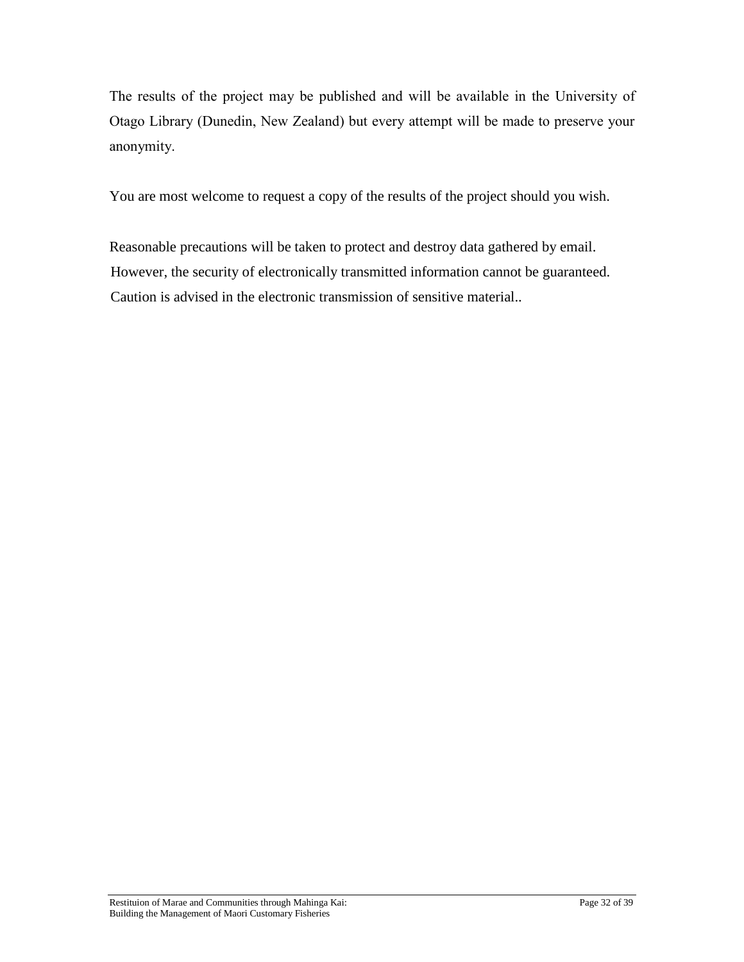The results of the project may be published and will be available in the University of Otago Library (Dunedin, New Zealand) but every attempt will be made to preserve your anonymity.

You are most welcome to request a copy of the results of the project should you wish.

Reasonable precautions will be taken to protect and destroy data gathered by email. However, the security of electronically transmitted information cannot be guaranteed. Caution is advised in the electronic transmission of sensitive material..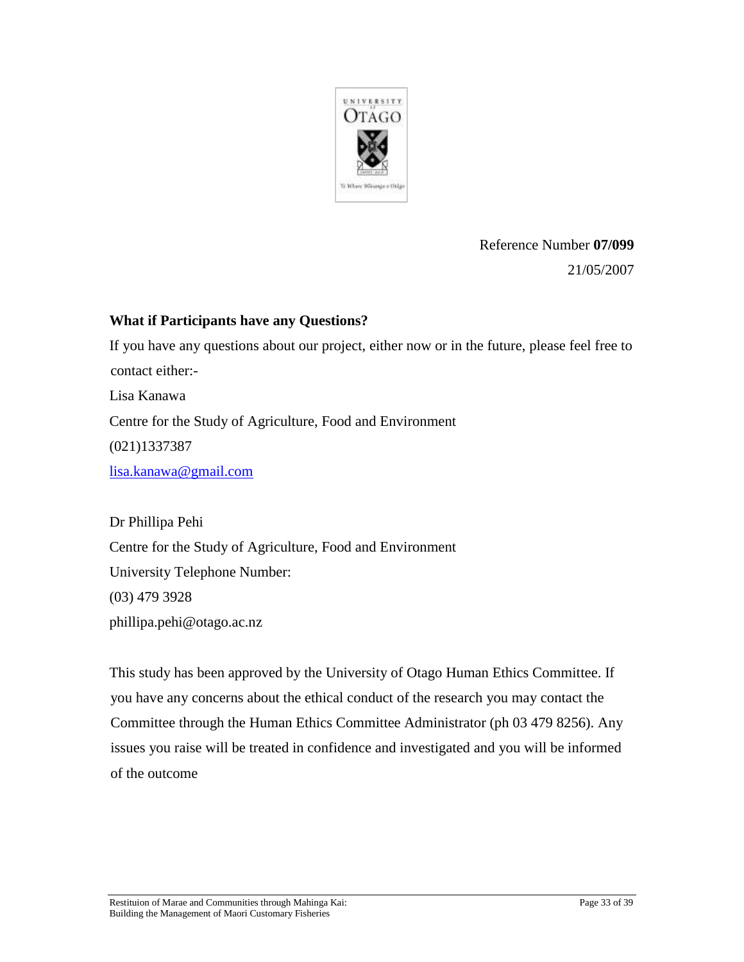

Reference Number **07/099** 21/05/2007

## **What if Participants have any Questions?**

If you have any questions about our project, either now or in the future, please feel free to contact either:- Lisa Kanawa Centre for the Study of Agriculture, Food and Environment (021)1337387 [lisa.kanawa@gmail.com](mailto:lisa.kanawa@gmail.com)

Dr Phillipa Pehi Centre for the Study of Agriculture, Food and Environment University Telephone Number: (03) 479 3928 phillipa.pehi@otago.ac.nz

This study has been approved by the University of Otago Human Ethics Committee. If you have any concerns about the ethical conduct of the research you may contact the Committee through the Human Ethics Committee Administrator (ph 03 479 8256). Any issues you raise will be treated in confidence and investigated and you will be informed of the outcome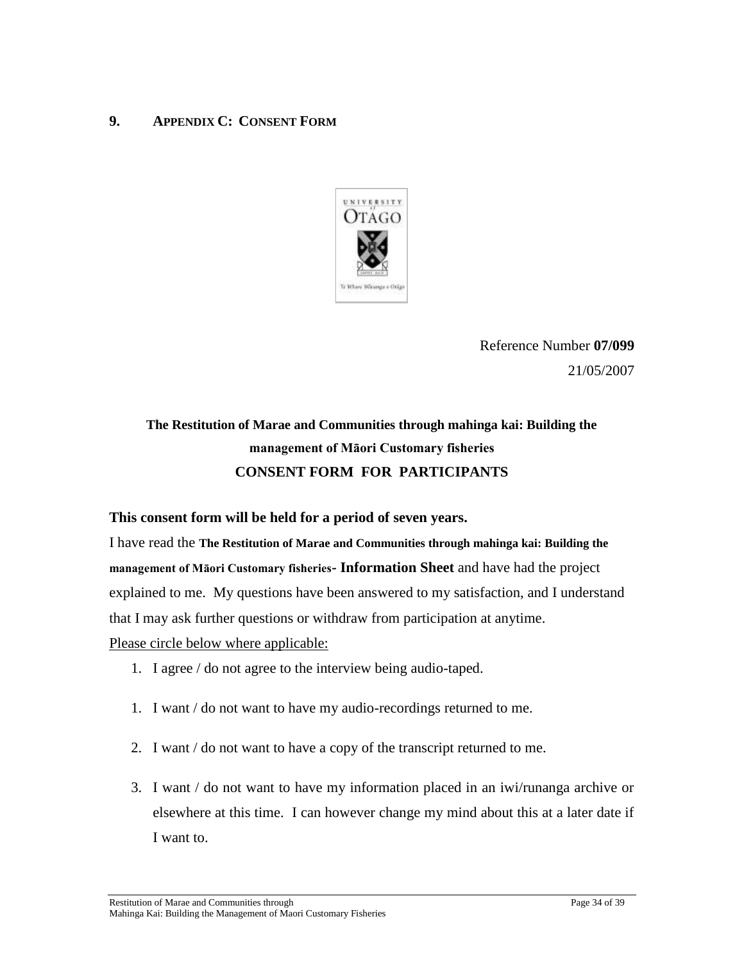## **9. APPENDIX C: CONSENT FORM**



Reference Number **07/099** 21/05/2007

## **The Restitution of Marae and Communities through mahinga kai: Building the management of Māori Customary fisheries CONSENT FORM FOR PARTICIPANTS**

## **This consent form will be held for a period of seven years.**

I have read the **The Restitution of Marae and Communities through mahinga kai: Building the management of Māori Customary fisheries- Information Sheet** and have had the project explained to me. My questions have been answered to my satisfaction, and I understand that I may ask further questions or withdraw from participation at anytime. Please circle below where applicable:

- 1. I agree / do not agree to the interview being audio-taped.
- 1. I want / do not want to have my audio-recordings returned to me.
- 2. I want / do not want to have a copy of the transcript returned to me.
- 3. I want / do not want to have my information placed in an iwi/runanga archive or elsewhere at this time. I can however change my mind about this at a later date if I want to.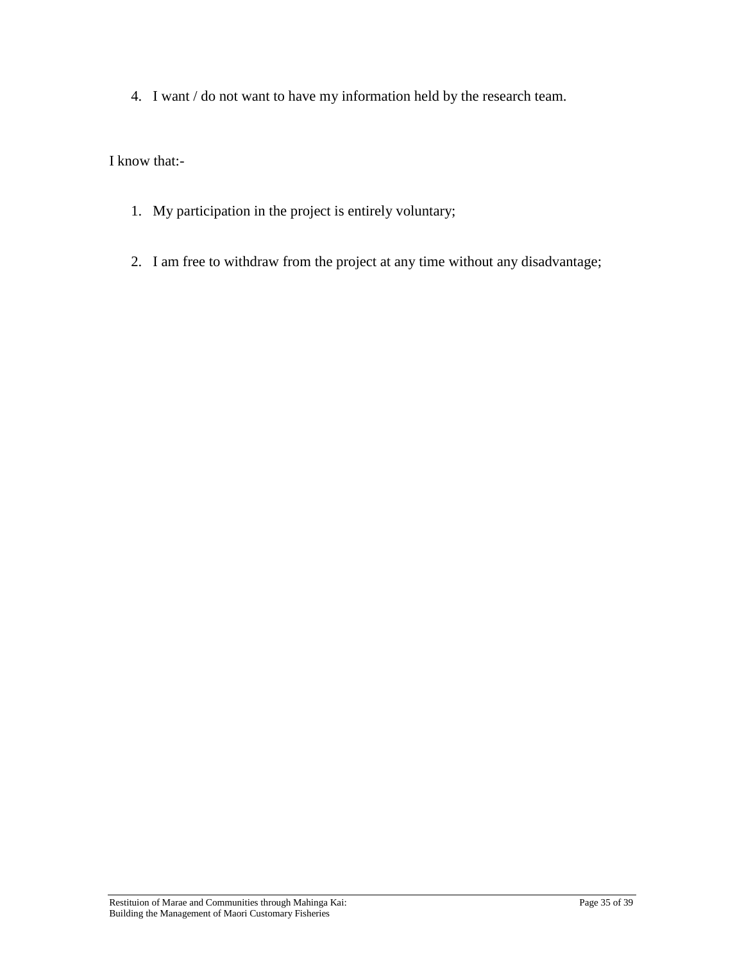4. I want / do not want to have my information held by the research team.

I know that:-

- 1. My participation in the project is entirely voluntary;
- 2. I am free to withdraw from the project at any time without any disadvantage;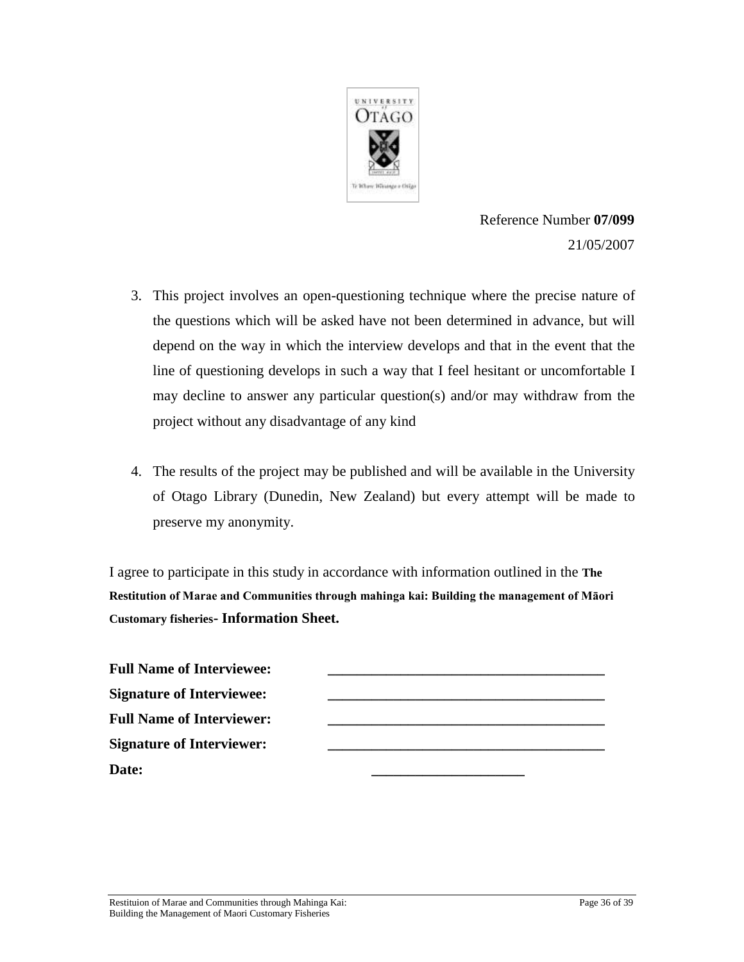

Reference Number **07/099** 21/05/2007

- 3. This project involves an open-questioning technique where the precise nature of the questions which will be asked have not been determined in advance, but will depend on the way in which the interview develops and that in the event that the line of questioning develops in such a way that I feel hesitant or uncomfortable I may decline to answer any particular question(s) and/or may withdraw from the project without any disadvantage of any kind
- 4. The results of the project may be published and will be available in the University of Otago Library (Dunedin, New Zealand) but every attempt will be made to preserve my anonymity.

I agree to participate in this study in accordance with information outlined in the **The Restitution of Marae and Communities through mahinga kai: Building the management of Māori Customary fisheries- Information Sheet.**

| <b>Full Name of Interviewee:</b> |  |
|----------------------------------|--|
| <b>Signature of Interviewee:</b> |  |
| <b>Full Name of Interviewer:</b> |  |
| <b>Signature of Interviewer:</b> |  |
| Date:                            |  |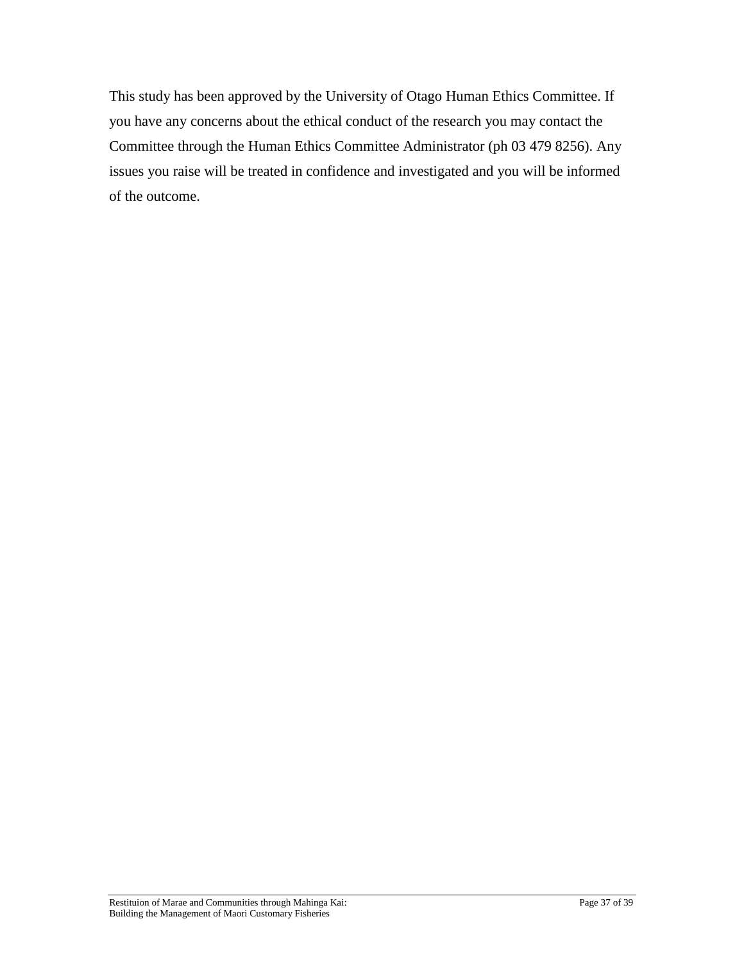This study has been approved by the University of Otago Human Ethics Committee. If you have any concerns about the ethical conduct of the research you may contact the Committee through the Human Ethics Committee Administrator (ph 03 479 8256). Any issues you raise will be treated in confidence and investigated and you will be informed of the outcome.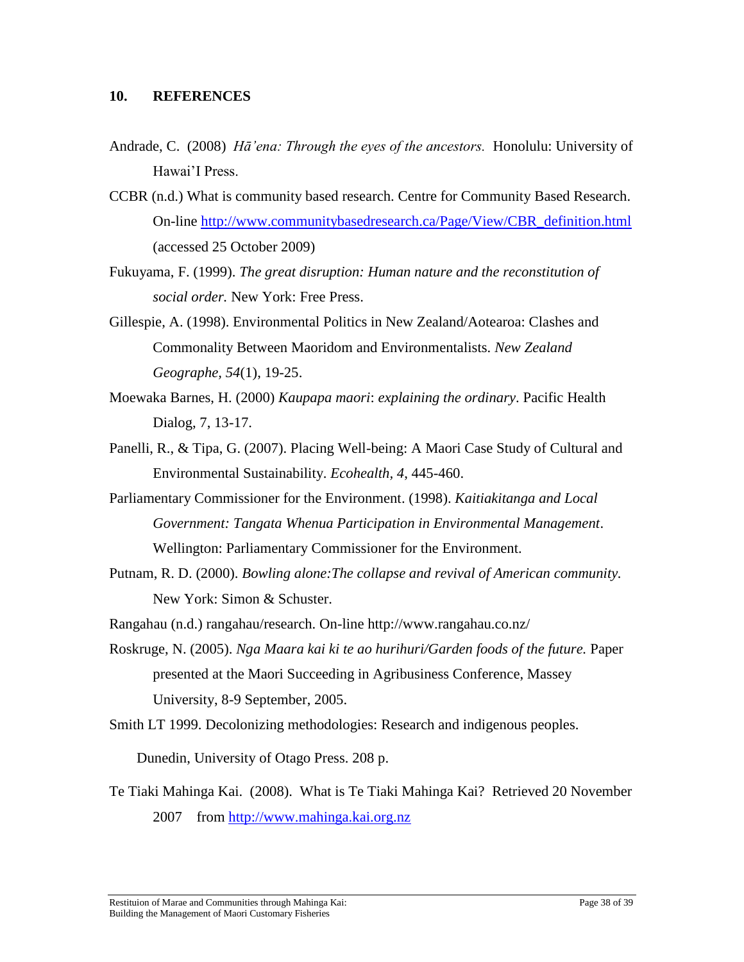- Andrade, C. (2008) *Hā'ena: Through the eyes of the ancestors.* Honolulu: University of Hawai"I Press.
- CCBR (n.d.) What is community based research. Centre for Community Based Research. On-line [http://www.communitybasedresearch.ca/Page/View/CBR\\_definition.html](http://www.communitybasedresearch.ca/Page/View/CBR_definition.html) (accessed 25 October 2009)
- Fukuyama, F. (1999). *The great disruption: Human nature and the reconstitution of social order.* New York: Free Press.
- Gillespie, A. (1998). Environmental Politics in New Zealand/Aotearoa: Clashes and Commonality Between Maoridom and Environmentalists. *New Zealand Geographe, 54*(1), 19-25.
- Moewaka Barnes, H. (2000) *Kaupapa maori*: *explaining the ordinary*. Pacific Health Dialog, 7, 13-17.
- Panelli, R., & Tipa, G. (2007). Placing Well-being: A Maori Case Study of Cultural and Environmental Sustainability. *Ecohealth, 4*, 445-460.
- Parliamentary Commissioner for the Environment. (1998). *Kaitiakitanga and Local Government: Tangata Whenua Participation in Environmental Management*. Wellington: Parliamentary Commissioner for the Environment.
- Putnam, R. D. (2000). *Bowling alone:The collapse and revival of American community.* New York: Simon & Schuster.
- Rangahau (n.d.) rangahau/research. On-line http://www.rangahau.co.nz/
- Roskruge, N. (2005). *Nga Maara kai ki te ao hurihuri/Garden foods of the future.* Paper presented at the Maori Succeeding in Agribusiness Conference, Massey University, 8-9 September, 2005.
- Smith LT 1999. Decolonizing methodologies: Research and indigenous peoples.

Dunedin, University of Otago Press. 208 p.

Te Tiaki Mahinga Kai. (2008). What is Te Tiaki Mahinga Kai? Retrieved 20 November 2007 from [http://www.mahinga.kai.org.nz](http://www.mahinga.kai.org.nz/)